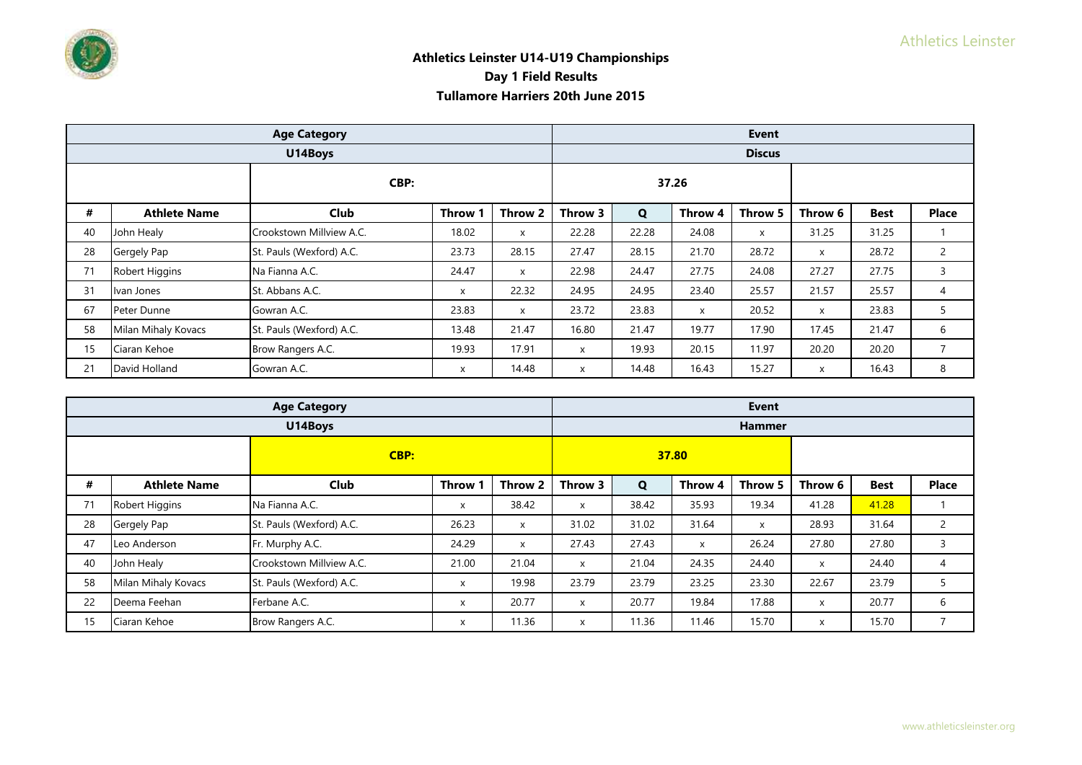|    |                     | <b>Age Category</b>      |              |         |         |             |         | <b>Event</b>  |              |             |              |
|----|---------------------|--------------------------|--------------|---------|---------|-------------|---------|---------------|--------------|-------------|--------------|
|    |                     | U14Boys                  |              |         |         |             |         | <b>Discus</b> |              |             |              |
|    |                     | CBP:                     |              |         |         |             | 37.26   |               |              |             |              |
| #  | <b>Athlete Name</b> | <b>Club</b>              | Throw '      | Throw 2 | Throw 3 | $\mathbf Q$ | Throw 4 | Throw 5       | Throw 6      | <b>Best</b> | <b>Place</b> |
| 40 | John Healy          | Crookstown Millview A.C. | 18.02        | X       | 22.28   | 22.28       | 24.08   | X             | 31.25        | 31.25       |              |
| 28 | Gergely Pap         | St. Pauls (Wexford) A.C. | 23.73        | 28.15   | 27.47   | 28.15       | 21.70   | 28.72         | $\mathsf{x}$ | 28.72       | 2            |
| 71 | Robert Higgins      | Na Fianna A.C.           | 24.47        | X       | 22.98   | 24.47       | 27.75   | 24.08         | 27.27        | 27.75       | 3            |
| 31 | Ivan Jones          | St. Abbans A.C.          | X            | 22.32   | 24.95   | 24.95       | 23.40   | 25.57         | 21.57        | 25.57       | 4            |
| 67 | Peter Dunne         | Gowran A.C.              | 23.83        | X       | 23.72   | 23.83       | X       | 20.52         | X            | 23.83       | 5            |
| 58 | Milan Mihaly Kovacs | St. Pauls (Wexford) A.C. | 13.48        | 21.47   | 16.80   | 21.47       | 19.77   | 17.90         | 17.45        | 21.47       | 6            |
| 15 | Ciaran Kehoe        | Brow Rangers A.C.        | 19.93        | 17.91   | X       | 19.93       | 20.15   | 11.97         | 20.20        | 20.20       | 7            |
| 21 | David Holland       | Gowran A.C.              | $\mathsf{x}$ | 14.48   | X       | 14.48       | 16.43   | 15.27         | $\times$     | 16.43       | 8            |

|    | <b>Age Category</b>                             |                          |              |              |          |             |              | <b>Event</b>  |         |             |                |
|----|-------------------------------------------------|--------------------------|--------------|--------------|----------|-------------|--------------|---------------|---------|-------------|----------------|
|    |                                                 | U14Boys                  |              |              |          |             |              | <b>Hammer</b> |         |             |                |
|    | CBP:<br>#<br><b>Club</b><br><b>Athlete Name</b> |                          |              |              |          |             | 37.80        |               |         |             |                |
|    |                                                 |                          | <b>Throw</b> | Throw 2      | Throw 3  | $\mathbf Q$ | Throw 4      | Throw 5       | Throw 6 | <b>Best</b> | <b>Place</b>   |
| 71 | Robert Higgins                                  | Na Fianna A.C.           | X            | 38.42        | $\times$ | 38.42       | 35.93        | 19.34         | 41.28   | 41.28       |                |
| 28 | Gergely Pap                                     | St. Pauls (Wexford) A.C. | 26.23        | X            | 31.02    | 31.02       | 31.64        | X             | 28.93   | 31.64       | $\overline{2}$ |
| 47 | Leo Anderson                                    | Fr. Murphy A.C.          | 24.29        | $\mathsf{x}$ | 27.43    | 27.43       | $\mathsf{x}$ | 26.24         | 27.80   | 27.80       | 3              |
| 40 | John Healy                                      | Crookstown Millyiew A.C. | 21.00        | 21.04        | X        | 21.04       | 24.35        | 24.40         | X       | 24.40       | 4              |
| 58 | Milan Mihaly Kovacs                             | St. Pauls (Wexford) A.C. | X            | 19.98        | 23.79    | 23.79       | 23.25        | 23.30         | 22.67   | 23.79       |                |
| 22 | Deema Feehan                                    | Ferbane A.C.             | X            | 20.77        | X        | 20.77       | 19.84        | 17.88         | x       | 20.77       | 6              |
| 15 | Ciaran Kehoe                                    | Brow Rangers A.C.        | x            | 11.36        | X        | 11.36       | 11.46        | 15.70         | x       | 15.70       |                |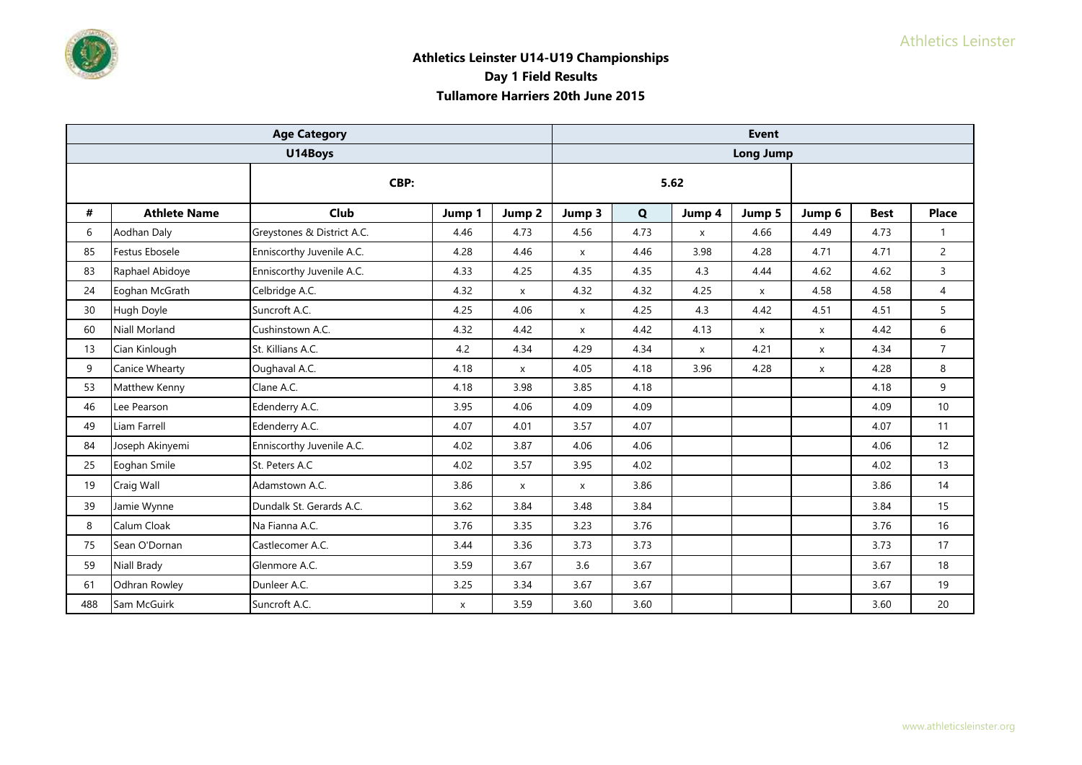|     |                      | <b>Age Category</b>        |        |                           |        |      |        | <b>Event</b>     |              |             |                 |
|-----|----------------------|----------------------------|--------|---------------------------|--------|------|--------|------------------|--------------|-------------|-----------------|
|     |                      | U14Boys                    |        |                           |        |      |        | <b>Long Jump</b> |              |             |                 |
|     |                      | CBP:                       |        |                           |        |      | 5.62   |                  |              |             |                 |
| #   | <b>Athlete Name</b>  | Club                       | Jump 1 | Jump 2                    | Jump 3 | Q    | Jump 4 | Jump 5           | Jump 6       | <b>Best</b> | <b>Place</b>    |
| 6   | Aodhan Daly          | Greystones & District A.C. | 4.46   | 4.73                      | 4.56   | 4.73 | X      | 4.66             | 4.49         | 4.73        | $\mathbf{1}$    |
| 85  | Festus Ebosele       | Enniscorthy Juvenile A.C.  | 4.28   | 4.46                      | X      | 4.46 | 3.98   | 4.28             | 4.71         | 4.71        | $\overline{2}$  |
| 83  | Raphael Abidoye      | Enniscorthy Juvenile A.C.  | 4.33   | 4.25                      | 4.35   | 4.35 | 4.3    | 4.44             | 4.62         | 4.62        | 3               |
| 24  | Eoghan McGrath       | Celbridge A.C.             | 4.32   | X                         | 4.32   | 4.32 | 4.25   | X                | 4.58         | 4.58        | $\overline{4}$  |
| 30  | Hugh Doyle           | Suncroft A.C.              | 4.25   | 4.06                      | X      | 4.25 | 4.3    | 4.42             | 4.51         | 4.51        | 5               |
| 60  | <b>Niall Morland</b> | Cushinstown A.C.           | 4.32   | 4.42                      | X      | 4.42 | 4.13   | X                | X            | 4.42        | 6               |
| 13  | Cian Kinlough        | St. Killians A.C.          | 4.2    | 4.34                      | 4.29   | 4.34 | X      | 4.21             | X            | 4.34        | $\overline{7}$  |
| 9   | Canice Whearty       | Oughaval A.C.              | 4.18   | $\mathsf{x}$              | 4.05   | 4.18 | 3.96   | 4.28             | $\mathsf{x}$ | 4.28        | 8               |
| 53  | Matthew Kenny        | Clane A.C.                 | 4.18   | 3.98                      | 3.85   | 4.18 |        |                  |              | 4.18        | 9               |
| 46  | Lee Pearson          | Edenderry A.C.             | 3.95   | 4.06                      | 4.09   | 4.09 |        |                  |              | 4.09        | 10 <sup>1</sup> |
| 49  | Liam Farrell         | Edenderry A.C.             | 4.07   | 4.01                      | 3.57   | 4.07 |        |                  |              | 4.07        | 11              |
| 84  | Joseph Akinyemi      | Enniscorthy Juvenile A.C.  | 4.02   | 3.87                      | 4.06   | 4.06 |        |                  |              | 4.06        | 12              |
| 25  | Eoghan Smile         | St. Peters A.C             | 4.02   | 3.57                      | 3.95   | 4.02 |        |                  |              | 4.02        | 13              |
| 19  | Craig Wall           | Adamstown A.C.             | 3.86   | $\boldsymbol{\mathsf{x}}$ | X      | 3.86 |        |                  |              | 3.86        | 14              |
| 39  | Jamie Wynne          | Dundalk St. Gerards A.C.   | 3.62   | 3.84                      | 3.48   | 3.84 |        |                  |              | 3.84        | 15              |
| 8   | Calum Cloak          | Na Fianna A.C.             | 3.76   | 3.35                      | 3.23   | 3.76 |        |                  |              | 3.76        | 16              |
| 75  | Sean O'Dornan        | Castlecomer A.C.           | 3.44   | 3.36                      | 3.73   | 3.73 |        |                  |              | 3.73        | 17              |
| 59  | Niall Brady          | Glenmore A.C.              | 3.59   | 3.67                      | 3.6    | 3.67 |        |                  |              | 3.67        | 18              |
| 61  | Odhran Rowley        | Dunleer A.C.               | 3.25   | 3.34                      | 3.67   | 3.67 |        |                  |              | 3.67        | 19              |
| 488 | Sam McGuirk          | Suncroft A.C.              | X      | 3.59                      | 3.60   | 3.60 |        |                  |              | 3.60        | 20              |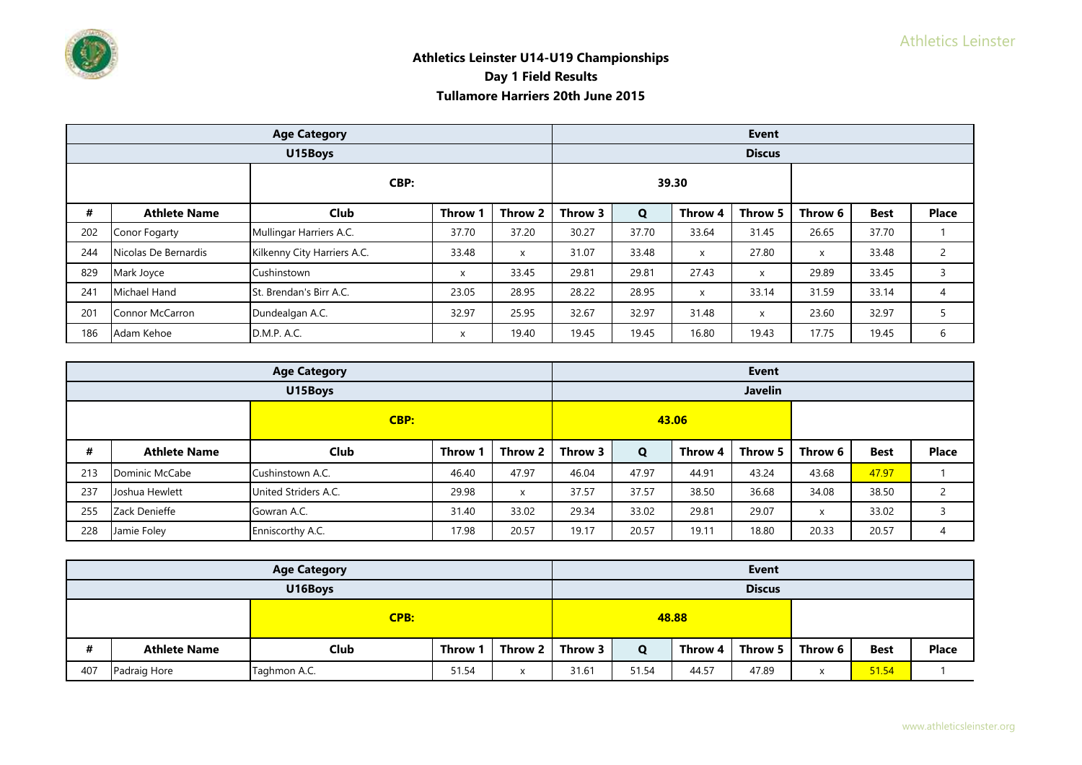|     |                                                 | <b>Age Category</b>         |              |         | <b>Event</b> |       |         |               |         |             |                |  |
|-----|-------------------------------------------------|-----------------------------|--------------|---------|--------------|-------|---------|---------------|---------|-------------|----------------|--|
|     |                                                 | U15Boys                     |              |         |              |       |         | <b>Discus</b> |         |             |                |  |
|     | CBP:<br>#<br><b>Club</b><br><b>Athlete Name</b> |                             |              |         |              |       | 39.30   |               |         |             |                |  |
|     |                                                 |                             | Throw        | Throw 2 | Throw 3      | Q     | Throw 4 | Throw 5       | Throw 6 | <b>Best</b> | <b>Place</b>   |  |
| 202 | Conor Fogarty                                   | Mullingar Harriers A.C.     | 37.70        | 37.20   | 30.27        | 37.70 | 33.64   | 31.45         | 26.65   | 37.70       |                |  |
| 244 | Nicolas De Bernardis                            | Kilkenny City Harriers A.C. | 33.48        | X       | 31.07        | 33.48 | X       | 27.80         | X       | 33.48       | $\overline{2}$ |  |
| 829 | Mark Joyce                                      | Cushinstown                 | $\mathsf{x}$ | 33.45   | 29.81        | 29.81 | 27.43   | X             | 29.89   | 33.45       | 3              |  |
| 241 | Michael Hand                                    | St. Brendan's Birr A.C.     | 23.05        | 28.95   | 28.22        | 28.95 | X       | 33.14         | 31.59   | 33.14       | 4              |  |
| 201 | Connor McCarron                                 | Dundealgan A.C.             | 32.97        | 25.95   | 32.67        | 32.97 | 31.48   | X             | 23.60   | 32.97       |                |  |
| 186 | Adam Kehoe                                      | D.M.P. A.C.                 | X            | 19.40   | 19.45        | 19.45 | 16.80   | 19.43         | 17.75   | 19.45       | 6              |  |

|      |                     | <b>Age Category</b>  |       |         |         |             |         | <b>Event</b>   |         |             |               |
|------|---------------------|----------------------|-------|---------|---------|-------------|---------|----------------|---------|-------------|---------------|
|      |                     | U15Boys              |       |         |         |             |         | <b>Javelin</b> |         |             |               |
| CBP: |                     |                      |       |         | 43.06   |             |         |                |         |             |               |
| #    | <b>Athlete Name</b> | <b>Club</b>          | Throw | Throw 2 | Throw 3 | $\mathbf Q$ | Throw 4 | Throw 5        | Throw 6 | <b>Best</b> | <b>Place</b>  |
| 213  | Dominic McCabe      | Cushinstown A.C.     | 46.40 | 47.97   | 46.04   | 47.97       | 44.91   | 43.24          | 43.68   | 47.97       |               |
| 237  | Joshua Hewlett      | United Striders A.C. | 29.98 | X       | 37.57   | 37.57       | 38.50   | 36.68          | 34.08   | 38.50       | $\mathcal{D}$ |
| 255  | Zack Denieffe       | Gowran A.C.          | 31.40 | 33.02   | 29.34   | 33.02       | 29.81   | 29.07          | x       | 33.02       |               |
| 228  | Jamie Foley         | Enniscorthy A.C.     | 17.98 | 20.57   | 19.17   | 20.57       | 19.11   | 18.80          | 20.33   | 20.57       | 4             |

|             |                     | <b>Age Category</b>                                |  |       |         |       |         | <b>Event</b>  |         |             |              |
|-------------|---------------------|----------------------------------------------------|--|-------|---------|-------|---------|---------------|---------|-------------|--------------|
|             | U16Boys             |                                                    |  |       |         |       |         | <b>Discus</b> |         |             |              |
| <b>CPB:</b> |                     |                                                    |  |       |         |       | 48.88   |               |         |             |              |
| #           | <b>Athlete Name</b> | Throw 2<br>Club<br><b>Throw</b>                    |  |       | Throw 3 | O     | Throw 4 | Throw 5       | Throw 6 | <b>Best</b> | <b>Place</b> |
| 407         | Padraig Hore        | Taghmon A.C.<br>51.54<br>$\checkmark$<br>$\lambda$ |  | 31.61 | 51.54   | 44.57 | 47.89   |               | 51.54   |             |              |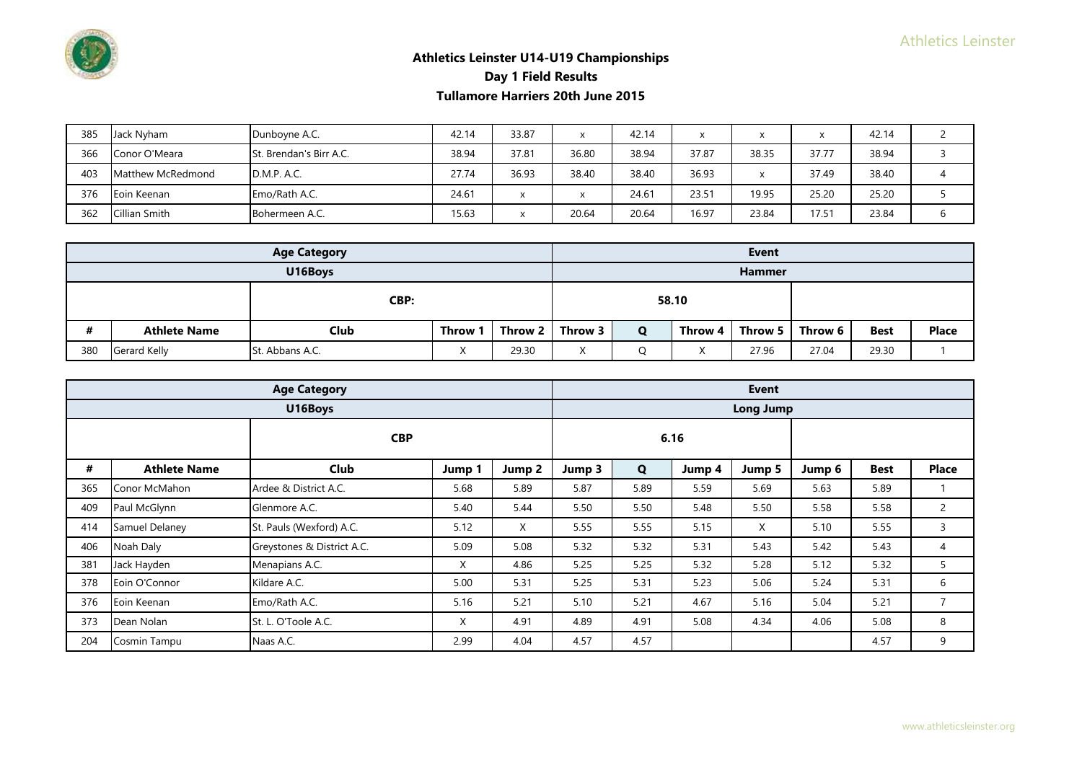| 385 | Jack Nyham        | Dunboyne A.C.                  | 42.14 | 33.87 |       | 42.14 | x     | x     | $\checkmark$ | 42.14 |  |
|-----|-------------------|--------------------------------|-------|-------|-------|-------|-------|-------|--------------|-------|--|
| 366 | Conor O'Meara     | <b>St. Brendan's Birr A.C.</b> | 38.94 | 37.81 | 36.80 | 38.94 | 37.87 | 38.35 | 37.77        | 38.94 |  |
| 403 | Matthew McRedmond | D.M.P. A.C.                    | 27.74 | 36.93 | 38.40 | 38.40 | 36.93 | x     | 37.49        | 38.40 |  |
| 376 | Eoin Keenan       | Emo/Rath A.C.                  | 24.61 |       |       | 24.61 | 23.51 | 19.95 | 25.20        | 25.20 |  |
| 362 | Cillian Smith     | Bohermeen A.C.                 | 15.63 |       | 20.64 | 20.64 | 16.97 | 23.84 | 17.51        | 23.84 |  |

|                                                        |                     | <b>Age Category</b> |         |                        |         |              |         | <b>Event</b>  |                   |             |              |
|--------------------------------------------------------|---------------------|---------------------|---------|------------------------|---------|--------------|---------|---------------|-------------------|-------------|--------------|
|                                                        |                     | U16Boys             |         |                        |         |              |         | <b>Hammer</b> |                   |             |              |
| CBP:                                                   |                     |                     |         |                        |         | 58.10        |         |               |                   |             |              |
| #                                                      | <b>Athlete Name</b> | <b>Club</b>         | Throw 1 | Throw 2                | Throw 3 | $\mathbf{o}$ | Throw 4 |               | Throw 5   Throw 6 | <b>Best</b> | <b>Place</b> |
| 380<br>29.30<br>St. Abbans A.C.<br><b>Gerard Kelly</b> |                     |                     |         | $\lambda$<br>$\lambda$ |         | Χ            | 27.96   | 27.04         | 29.30             |             |              |

|     |                     | <b>Age Category</b>        |        |        |        |      |        | <b>Event</b>     |        |             |              |
|-----|---------------------|----------------------------|--------|--------|--------|------|--------|------------------|--------|-------------|--------------|
|     |                     | U16Boys                    |        |        |        |      |        | <b>Long Jump</b> |        |             |              |
|     |                     | <b>CBP</b>                 |        |        |        |      | 6.16   |                  |        |             |              |
| #   | <b>Athlete Name</b> | <b>Club</b>                | Jump 1 | Jump 2 | Jump 3 | Q    | Jump 4 | Jump 5           | Jump 6 | <b>Best</b> | <b>Place</b> |
| 365 | Conor McMahon       | Ardee & District A.C.      | 5.68   | 5.89   | 5.87   | 5.89 | 5.59   | 5.69             | 5.63   | 5.89        |              |
| 409 | Paul McGlynn        | Glenmore A.C.              | 5.40   | 5.44   | 5.50   | 5.50 | 5.48   | 5.50             | 5.58   | 5.58        | 2            |
| 414 | Samuel Delaney      | St. Pauls (Wexford) A.C.   | 5.12   | X      | 5.55   | 5.55 | 5.15   | X                | 5.10   | 5.55        | 3            |
| 406 | Noah Daly           | Greystones & District A.C. | 5.09   | 5.08   | 5.32   | 5.32 | 5.31   | 5.43             | 5.42   | 5.43        | 4            |
| 381 | Jack Hayden         | Menapians A.C.             | Χ      | 4.86   | 5.25   | 5.25 | 5.32   | 5.28             | 5.12   | 5.32        | 5            |
| 378 | Eoin O'Connor       | Kildare A.C.               | 5.00   | 5.31   | 5.25   | 5.31 | 5.23   | 5.06             | 5.24   | 5.31        | 6            |
| 376 | Eoin Keenan         | Emo/Rath A.C.              | 5.16   | 5.21   | 5.10   | 5.21 | 4.67   | 5.16             | 5.04   | 5.21        | 7            |
| 373 | Dean Nolan          | St. L. O'Toole A.C.        | X      | 4.91   | 4.89   | 4.91 | 5.08   | 4.34             | 4.06   | 5.08        | 8            |
| 204 | Cosmin Tampu        | Naas A.C.                  | 2.99   | 4.04   | 4.57   | 4.57 |        |                  |        | 4.57        | 9            |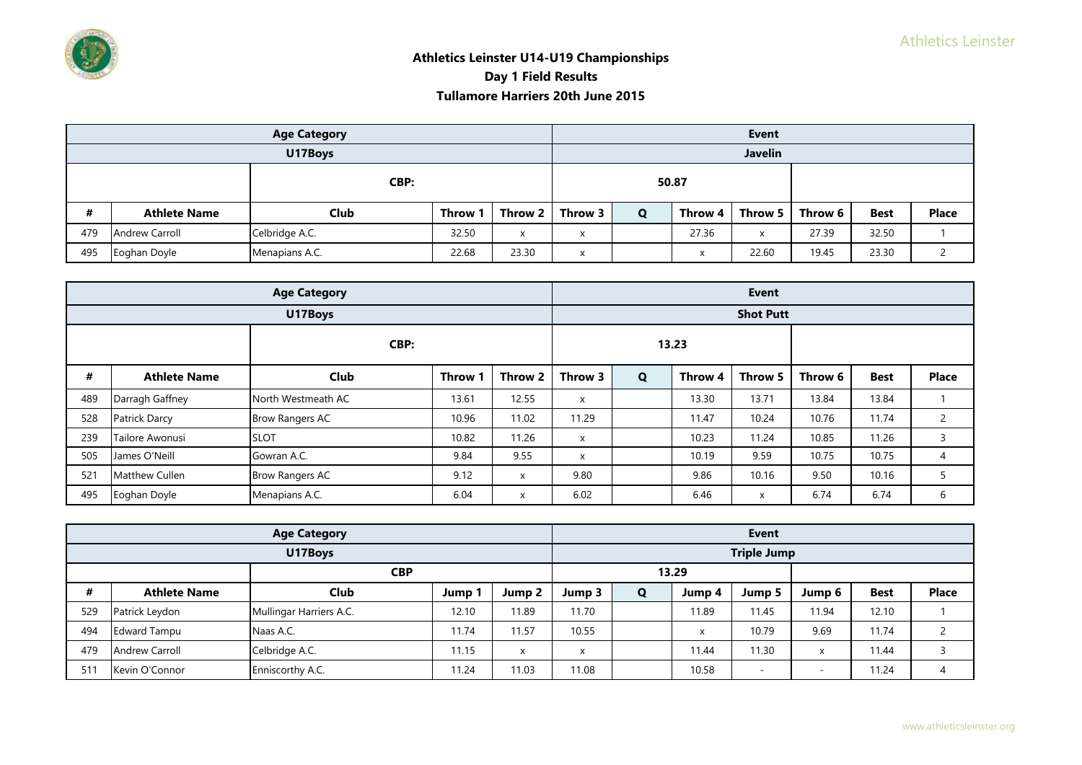|      |                                | <b>Age Category</b> |         |                           |         |       |           | <b>Event</b>   |         |             |              |
|------|--------------------------------|---------------------|---------|---------------------------|---------|-------|-----------|----------------|---------|-------------|--------------|
|      |                                | U17Boys             |         |                           |         |       |           | <b>Javelin</b> |         |             |              |
| CBP: |                                |                     |         |                           |         | 50.87 |           |                |         |             |              |
| #    | <b>Athlete Name</b>            | <b>Club</b>         | Throw ' | Throw 2                   | Throw 3 | Q     | Throw 4   | Throw 5 I      | Throw 6 | <b>Best</b> | <b>Place</b> |
| 479  | <b>Andrew Carroll</b>          | Celbridge A.C.      | 32.50   | $\boldsymbol{\mathsf{x}}$ | X       |       | 27.36     | X              | 27.39   | 32.50       |              |
| 495  | Menapians A.C.<br>Eoghan Doyle |                     | 22.68   | 23.30                     | X       |       | $\lambda$ | 22.60          | 19.45   | 23.30       |              |

|      |                       | <b>Age Category</b>    |              |         | <b>Event</b> |       |         |                  |         |             |              |  |
|------|-----------------------|------------------------|--------------|---------|--------------|-------|---------|------------------|---------|-------------|--------------|--|
|      |                       | U17Boys                |              |         |              |       |         | <b>Shot Putt</b> |         |             |              |  |
| CBP: |                       |                        |              |         |              | 13.23 |         |                  |         |             |              |  |
| #    | <b>Athlete Name</b>   | <b>Club</b>            | <b>Throw</b> | Throw 2 | Throw 3      | Q     | Throw 4 | Throw 5          | Throw 6 | <b>Best</b> | <b>Place</b> |  |
| 489  | Darragh Gaffney       | North Westmeath AC     | 13.61        | 12.55   | X            |       | 13.30   | 13.71            | 13.84   | 13.84       |              |  |
| 528  | Patrick Darcy         | <b>Brow Rangers AC</b> | 10.96        | 11.02   | 11.29        |       | 11.47   | 10.24            | 10.76   | 11.74       | $\mathbf{2}$ |  |
| 239  | Tailore Awonusi       | <b>SLOT</b>            | 10.82        | 11.26   | $\times$     |       | 10.23   | 11.24            | 10.85   | 11.26       | 3            |  |
| 505  | James O'Neill         | Gowran A.C.            | 9.84         | 9.55    | X            |       | 10.19   | 9.59             | 10.75   | 10.75       | 4            |  |
| 521  | <b>Matthew Cullen</b> | <b>Brow Rangers AC</b> | 9.12         | x       | 9.80         |       | 9.86    | 10.16            | 9.50    | 10.16       | 5            |  |
| 495  | Eoghan Doyle          | Menapians A.C.         | 6.04         | X       | 6.02         |       | 6.46    | X                | 6.74    | 6.74        | 6            |  |

|     |                       | <b>Age Category</b>     |       |        |        |       |        | Event                    |        |             |              |
|-----|-----------------------|-------------------------|-------|--------|--------|-------|--------|--------------------------|--------|-------------|--------------|
|     |                       | U17Boys                 |       |        |        |       |        | <b>Triple Jump</b>       |        |             |              |
|     | <b>CBP</b>            |                         |       |        |        | 13.29 |        |                          |        |             |              |
| #   | <b>Athlete Name</b>   | <b>Club</b>             | Jump  | Jump 2 | Jump 3 | Q     | Jump 4 | Jump 5                   | Jump 6 | <b>Best</b> | <b>Place</b> |
| 529 | Patrick Leydon        | Mullingar Harriers A.C. | 12.10 | 11.89  | 11.70  |       | 11.89  | 11.45                    | 11.94  | 12.10       |              |
| 494 | <b>Edward Tampu</b>   | Naas A.C.               | 11.74 | 11.57  | 10.55  |       | X      | 10.79                    | 9.69   | 11.74       |              |
| 479 | <b>Andrew Carroll</b> | Celbridge A.C.          | 11.15 | X      | X      |       | 11.44  | 11.30                    | X      | 11.44       |              |
| 511 | Kevin O'Connor        | Enniscorthy A.C.        | 11.24 | 11.03  | 11.08  |       | 10.58  | $\overline{\phantom{a}}$ | -      | 11.24       |              |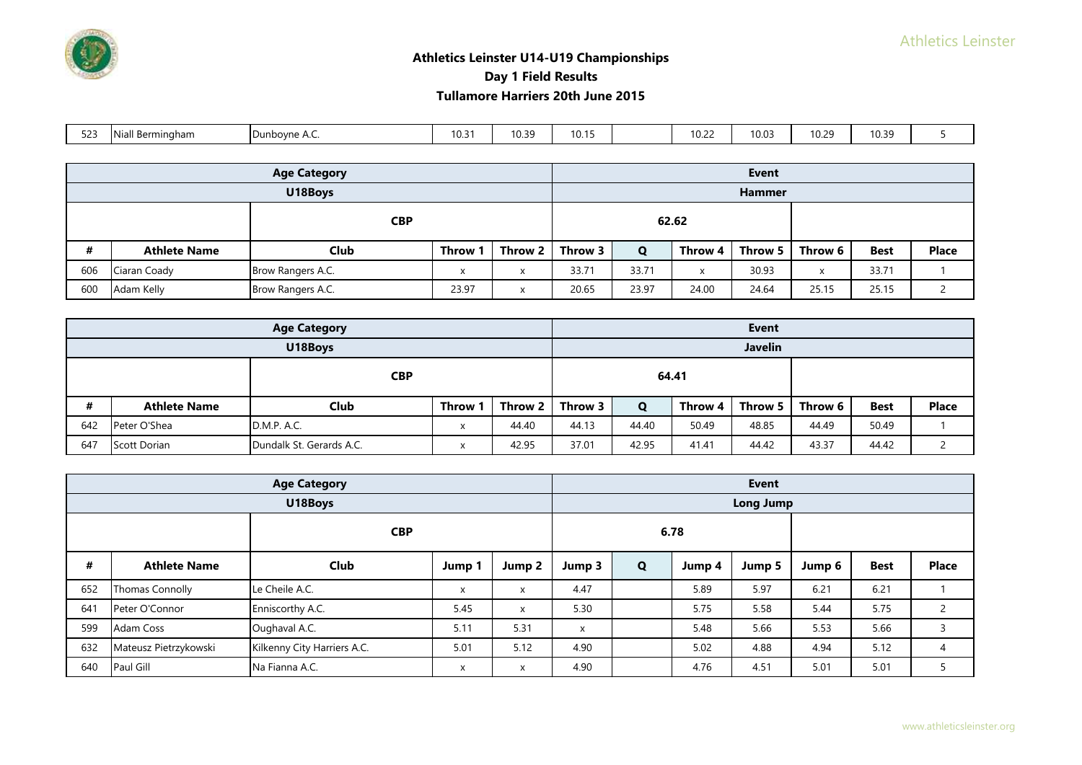

# **Athletics Leinster U14-U19 Championships Day 1 Field Results**

#### **Tullamore Harriers 20th June 2015**

| .<br>- ⁄ו | $\blacksquare$<br>Bermingham | ınbovne<br>$\sim$ | 10.3 | 10.39<br>$\cdot$ | 10.15 | $\sim$ $\sim$ $\sim$ $\sim$<br>10.2 | 10.03 | 10.29 | 10.39 |  |
|-----------|------------------------------|-------------------|------|------------------|-------|-------------------------------------|-------|-------|-------|--|

|            |                     | <b>Age Category</b> |       |         | <b>Event</b> |       |         |               |         |             |              |
|------------|---------------------|---------------------|-------|---------|--------------|-------|---------|---------------|---------|-------------|--------------|
|            |                     | U18Boys             |       |         |              |       |         | <b>Hammer</b> |         |             |              |
| <b>CBP</b> |                     |                     |       | 62.62   |              |       |         |               |         |             |              |
| #          | <b>Athlete Name</b> | <b>Club</b>         | Throw | Throw 2 | Throw 3      | Q     | Throw 4 | Throw 5 L     | Throw 6 | <b>Best</b> | <b>Place</b> |
| 606        | Ciaran Coady        | Brow Rangers A.C.   |       |         | 33.71        | 33.71 | X       | 30.93         | X       | 33.71       |              |
| 600        | Adam Kelly          | Brow Rangers A.C.   | 23.97 |         | 20.65        | 23.97 | 24.00   | 24.64         | 25.15   | 25.15       |              |

|            |                     | <b>Age Category</b>      |         |         |         |       |         | <b>Event</b>   |         |             |              |
|------------|---------------------|--------------------------|---------|---------|---------|-------|---------|----------------|---------|-------------|--------------|
|            |                     | U18Boys                  |         |         |         |       |         | <b>Javelin</b> |         |             |              |
| <b>CBP</b> |                     |                          |         |         |         | 64.41 |         |                |         |             |              |
| #          | <b>Athlete Name</b> | <b>Club</b>              | Throw 1 | Throw 2 | Throw 3 | Q     | Throw 4 | Throw 5 L      | Throw 6 | <b>Best</b> | <b>Place</b> |
| 642        | Peter O'Shea        | D.M.P. A.C.              | X       | 44.40   | 44.13   | 44.40 | 50.49   | 48.85          | 44.49   | 50.49       |              |
| 647        | Scott Dorian        | Dundalk St. Gerards A.C. |         | 42.95   | 37.01   | 42.95 | 41.41   | 44.42          | 43.37   | 44.42       |              |

|     |                        | <b>Age Category</b>         |        |              |        |                      |        | <b>Event</b> |        |             |                |
|-----|------------------------|-----------------------------|--------|--------------|--------|----------------------|--------|--------------|--------|-------------|----------------|
|     |                        | U18Boys                     |        |              |        |                      |        | Long Jump    |        |             |                |
|     | <b>CBP</b>             |                             |        |              |        |                      | 6.78   |              |        |             |                |
| #   | <b>Athlete Name</b>    | <b>Club</b>                 | Jump 1 | Jump 2       | Jump 3 | Q                    | Jump 4 | Jump 5       | Jump 6 | <b>Best</b> | <b>Place</b>   |
| 652 | <b>Thomas Connolly</b> | Le Cheile A.C.              | X      | X            | 4.47   |                      | 5.89   | 5.97         | 6.21   | 6.21        |                |
| 641 | Peter O'Connor         | Enniscorthy A.C.            | 5.45   | $\mathsf{x}$ | 5.30   |                      | 5.75   | 5.58         | 5.44   | 5.75        | $\overline{c}$ |
| 599 | Adam Coss              | Oughaval A.C.               | 5.11   | 5.31         | X      |                      | 5.48   | 5.66         | 5.53   | 5.66        | 3              |
| 632 | Mateusz Pietrzykowski  | Kilkenny City Harriers A.C. | 5.01   | 5.12         | 4.90   |                      | 5.02   | 4.88         | 4.94   | 5.12        | $\overline{4}$ |
| 640 | Paul Gill              | Na Fianna A.C.              | X<br>Х |              |        | 4.76<br>4.90<br>4.51 |        |              |        | 5.01        |                |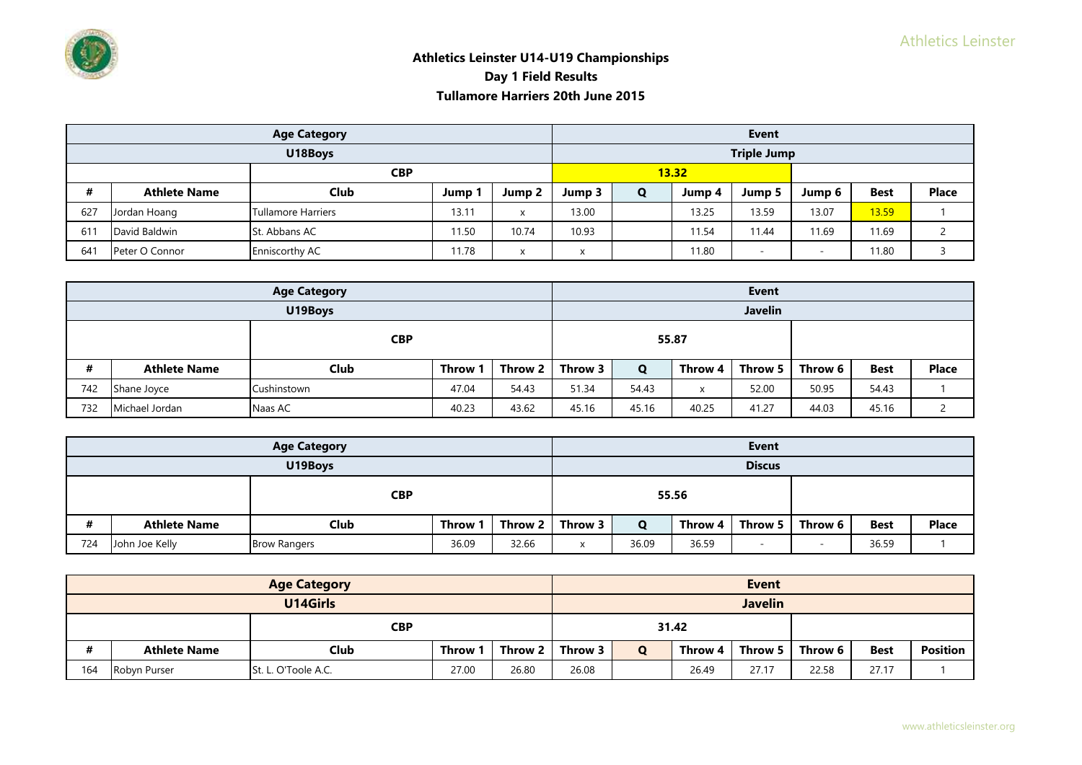

|            |                     | <b>Age Category</b> |       |           | <b>Event</b>              |   |        |                    |                          |             |              |  |
|------------|---------------------|---------------------|-------|-----------|---------------------------|---|--------|--------------------|--------------------------|-------------|--------------|--|
|            |                     | U18Boys             |       |           |                           |   |        | <b>Triple Jump</b> |                          |             |              |  |
| <b>CBP</b> |                     |                     |       | 13.32     |                           |   |        |                    |                          |             |              |  |
| #          | <b>Athlete Name</b> | <b>Club</b>         | Jump  | Jump 2    | Jump 3                    | O | Jump 4 | Jump 5             | Jump 6                   | <b>Best</b> | <b>Place</b> |  |
| 627        | Jordan Hoang        | Tullamore Harriers  | 13.11 | X         | 13.00                     |   | 13.25  | 13.59              | 13.07                    | 13.59       |              |  |
| 61         | David Baldwin       | St. Abbans AC       | 11.50 | 10.74     | 10.93                     |   | 11.54  | 11.44              | 11.69                    | 11.69       |              |  |
| 641        | Peter O Connor      | Enniscorthy AC      | 11.78 | $\lambda$ | $\checkmark$<br>$\lambda$ |   | 11.80  | $\sim$             | $\overline{\phantom{a}}$ | 11.80       |              |  |

|            |                     | <b>Age Category</b>       |         |         |         |       |         | <b>Event</b>   |         |             |              |
|------------|---------------------|---------------------------|---------|---------|---------|-------|---------|----------------|---------|-------------|--------------|
|            |                     | U19Boys                   |         |         |         |       |         | <b>Javelin</b> |         |             |              |
| <b>CBP</b> |                     |                           |         |         |         | 55.87 |         |                |         |             |              |
| #          | <b>Athlete Name</b> | <b>Club</b>               | Throw 1 | Throw 2 | Throw 3 | Q     | Throw 4 | Throw 5        | Throw 6 | <b>Best</b> | <b>Place</b> |
| 742        | Shane Joyce         | Cushinstown               | 47.04   | 54.43   | 51.34   | 54.43 | x       | 52.00          | 50.95   | 54.43       |              |
| 732        | Michael Jordan      | 40.23<br>43.62<br>Naas AC |         | 45.16   | 45.16   | 40.25 | 41.27   | 44.03          | 45.16   |             |              |

|     |                     | <b>Age Category</b>                   |         |                   |                           |       |         | <b>Event</b>    |         |             |              |
|-----|---------------------|---------------------------------------|---------|-------------------|---------------------------|-------|---------|-----------------|---------|-------------|--------------|
|     | U19Boys             |                                       |         |                   |                           |       |         | <b>Discus</b>   |         |             |              |
|     | <b>CBP</b>          |                                       |         |                   |                           |       | 55.56   |                 |         |             |              |
| #   | <b>Athlete Name</b> | Club                                  | Throw 1 | Throw 2   Throw 3 |                           | Q     | Throw 4 | Throw 5 $\vert$ | Throw 6 | <b>Best</b> | <b>Place</b> |
| 724 | John Joe Kelly      | 36.09<br>32.66<br><b>Brow Rangers</b> |         |                   | $\boldsymbol{\mathsf{x}}$ | 36.09 | 36.59   |                 |         | 36.59       |              |

|          |                     | <b>Age Category</b>                   |         |                   |       |   |                | <b>Event</b> |         |             |          |
|----------|---------------------|---------------------------------------|---------|-------------------|-------|---|----------------|--------------|---------|-------------|----------|
| U14Girls |                     |                                       |         |                   |       |   | <b>Javelin</b> |              |         |             |          |
|          | <b>CBP</b>          |                                       |         |                   | 31.42 |   |                |              |         |             |          |
| #        | <b>Athlete Name</b> | Club                                  | Throw 1 | Throw 2   Throw 3 |       | O | Throw 4        | Throw 5      | Throw 6 | <b>Best</b> | Position |
| 164      | Robyn Purser        | 26.80<br>27.00<br>St. L. O'Toole A.C. |         |                   | 26.08 |   | 26.49          | 27.17        | 22.58   | 27.17       |          |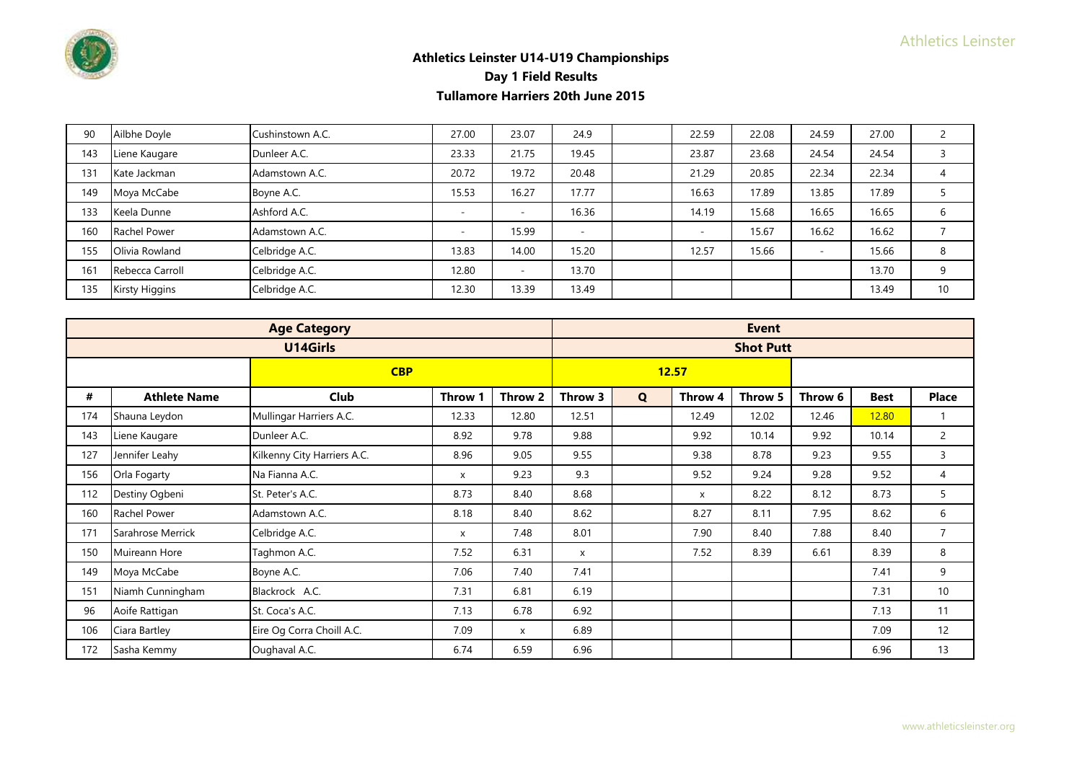

| 90  | Ailbhe Doyle          | Cushinstown A.C. | 27.00 | 23.07                    | 24.9  | 22.59 | 22.08 | 24.59                    | 27.00 |    |
|-----|-----------------------|------------------|-------|--------------------------|-------|-------|-------|--------------------------|-------|----|
| 143 | Liene Kaugare         | Dunleer A.C.     | 23.33 | 21.75                    | 19.45 | 23.87 | 23.68 | 24.54                    | 24.54 |    |
| 131 | Kate Jackman          | Adamstown A.C.   | 20.72 | 19.72                    | 20.48 | 21.29 | 20.85 | 22.34                    | 22.34 |    |
| 149 | Moya McCabe           | Boyne A.C.       | 15.53 | 16.27                    | 17.77 | 16.63 | 17.89 | 13.85                    | 17.89 |    |
| 133 | Keela Dunne           | Ashford A.C.     | -     | $\overline{\phantom{a}}$ | 16.36 | 14.19 | 15.68 | 16.65                    | 16.65 |    |
| 160 | <b>Rachel Power</b>   | Adamstown A.C.   |       | 15.99                    | ٠     |       | 15.67 | 16.62                    | 16.62 |    |
| 155 | Olivia Rowland        | Celbridge A.C.   | 13.83 | 14.00                    | 15.20 | 12.57 | 15.66 | $\overline{\phantom{a}}$ | 15.66 | 8  |
| 161 | Rebecca Carroll       | Celbridge A.C.   | 12.80 | $\sim$                   | 13.70 |       |       |                          | 13.70 | q  |
| 135 | <b>Kirsty Higgins</b> | Celbridge A.C.   | 12.30 | 13.39                    | 13.49 |       |       |                          | 13.49 | 10 |

|     |                     | <b>Age Category</b>         |         |         |         |   |         | <b>Event</b>     |         |             |                |
|-----|---------------------|-----------------------------|---------|---------|---------|---|---------|------------------|---------|-------------|----------------|
|     |                     | U14Girls                    |         |         |         |   |         | <b>Shot Putt</b> |         |             |                |
|     |                     | <b>CBP</b>                  |         |         |         |   | 12.57   |                  |         |             |                |
| #   | <b>Athlete Name</b> | Club                        | Throw 1 | Throw 2 | Throw 3 | Q | Throw 4 | Throw 5          | Throw 6 | <b>Best</b> | <b>Place</b>   |
| 174 | Shauna Leydon       | Mullingar Harriers A.C.     | 12.33   | 12.80   | 12.51   |   | 12.49   | 12.02            | 12.46   | 12.80       | $\overline{1}$ |
| 143 | Liene Kaugare       | Dunleer A.C.                | 8.92    | 9.78    | 9.88    |   | 9.92    | 10.14            | 9.92    | 10.14       | 2              |
| 127 | Jennifer Leahy      | Kilkenny City Harriers A.C. | 8.96    | 9.05    | 9.55    |   | 9.38    | 8.78             | 9.23    | 9.55        | 3              |
| 156 | Orla Fogarty        | Na Fianna A.C.              | X       | 9.23    | 9.3     |   | 9.52    | 9.24             | 9.28    | 9.52        | 4              |
| 112 | Destiny Ogbeni      | St. Peter's A.C.            | 8.73    | 8.40    | 8.68    |   | X       | 8.22             | 8.12    | 8.73        | 5              |
| 160 | Rachel Power        | Adamstown A.C.              | 8.18    | 8.40    | 8.62    |   | 8.27    | 8.11             | 7.95    | 8.62        | 6              |
| 171 | Sarahrose Merrick   | Celbridge A.C.              | X       | 7.48    | 8.01    |   | 7.90    | 8.40             | 7.88    | 8.40        | $\overline{7}$ |
| 150 | Muireann Hore       | Taghmon A.C.                | 7.52    | 6.31    | X       |   | 7.52    | 8.39             | 6.61    | 8.39        | 8              |
| 149 | Moya McCabe         | Boyne A.C.                  | 7.06    | 7.40    | 7.41    |   |         |                  |         | 7.41        | 9              |
| 151 | Niamh Cunningham    | Blackrock A.C.              | 7.31    | 6.81    | 6.19    |   |         |                  |         | 7.31        | 10             |
| 96  | Aoife Rattigan      | St. Coca's A.C.             | 7.13    | 6.78    | 6.92    |   |         |                  |         | 7.13        | 11             |
| 106 | Ciara Bartley       | Eire Og Corra Choill A.C.   | 7.09    | X       | 6.89    |   |         |                  |         | 7.09        | 12             |
| 172 | Sasha Kemmy         | Oughaval A.C.               | 6.74    | 6.59    | 6.96    |   |         |                  |         | 6.96        | 13             |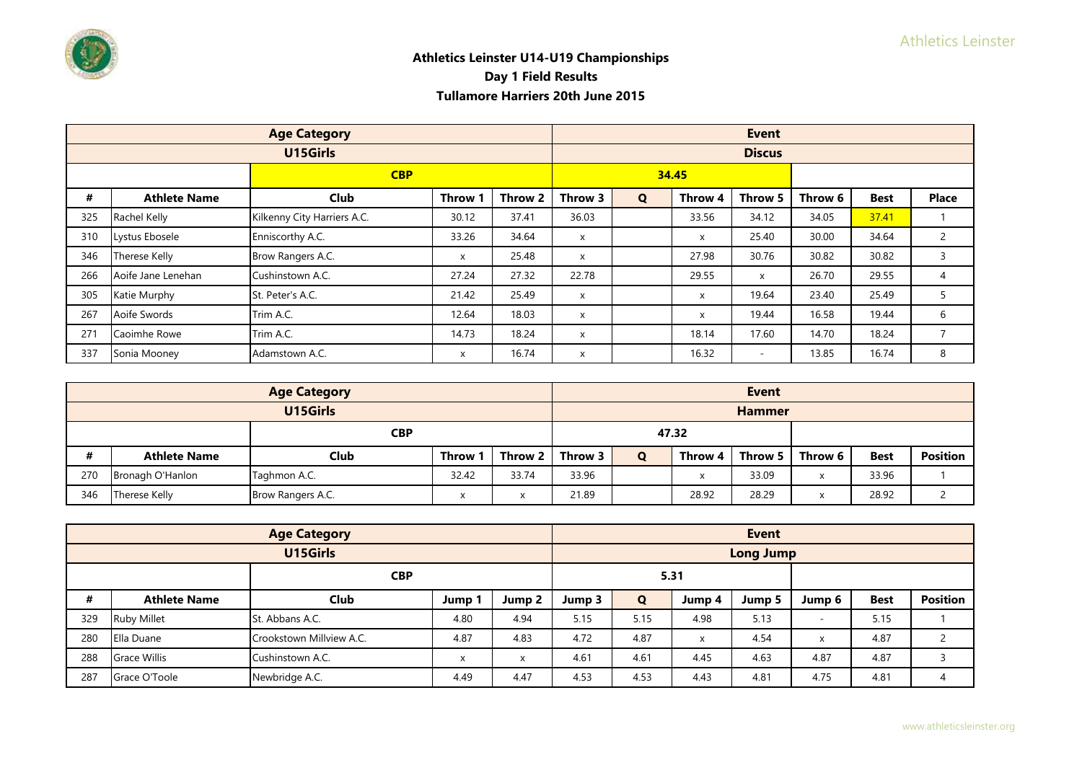

|     |                     | <b>Age Category</b>         |                           |         |          |             |         | <b>Event</b>  |         |             |                |
|-----|---------------------|-----------------------------|---------------------------|---------|----------|-------------|---------|---------------|---------|-------------|----------------|
|     |                     | U15Girls                    |                           |         |          |             |         | <b>Discus</b> |         |             |                |
|     |                     | <b>CBP</b>                  |                           |         |          |             | 34.45   |               |         |             |                |
| #   | <b>Athlete Name</b> | <b>Club</b>                 | Throw                     | Throw 2 | Throw 3  | $\mathbf Q$ | Throw 4 | Throw 5       | Throw 6 | <b>Best</b> | <b>Place</b>   |
| 325 | Rachel Kelly        | Kilkenny City Harriers A.C. | 30.12                     | 37.41   | 36.03    |             | 33.56   | 34.12         | 34.05   | 37.41       |                |
| 310 | Lystus Ebosele      | Enniscorthy A.C.            | 33.26                     | 34.64   | X        |             | X       | 25.40         | 30.00   | 34.64       | $\overline{2}$ |
| 346 | Therese Kelly       | Brow Rangers A.C.           | $\boldsymbol{\mathsf{x}}$ | 25.48   | X        |             | 27.98   | 30.76         | 30.82   | 30.82       | 3              |
| 266 | Aoife Jane Lenehan  | Cushinstown A.C.            | 27.24                     | 27.32   | 22.78    |             | 29.55   | X             | 26.70   | 29.55       | 4              |
| 305 | Katie Murphy        | St. Peter's A.C.            | 21.42                     | 25.49   | $\times$ |             | X       | 19.64         | 23.40   | 25.49       | 5              |
| 267 | Aoife Swords        | Trim A.C.                   | 12.64                     | 18.03   | X        |             | X       | 19.44         | 16.58   | 19.44       | 6              |
| 271 | Caoimhe Rowe        | Trim A.C.                   | 14.73                     | 18.24   | $\times$ |             | 18.14   | 17.60         | 14.70   | 18.24       | $\overline{7}$ |
| 337 | Sonia Mooney        | Adamstown A.C.              | X                         | 16.74   | X        |             | 16.32   | ۰             | 13.85   | 16.74       | 8              |

|            |                     | <b>Age Category</b> |         |           |         |   |         | <b>Event</b>  |           |             |                 |
|------------|---------------------|---------------------|---------|-----------|---------|---|---------|---------------|-----------|-------------|-----------------|
|            |                     | U15Girls            |         |           |         |   |         | <b>Hammer</b> |           |             |                 |
| <b>CBP</b> |                     |                     |         | 47.32     |         |   |         |               |           |             |                 |
| #          | <b>Athlete Name</b> | Club                | Throw 1 | Throw 2 L | Throw 3 | Ο | Throw 4 | Throw 5 I     | Throw 6   | <b>Best</b> | <b>Position</b> |
| 270        | Bronagh O'Hanlon    | Taghmon A.C.        | 32.42   | 33.74     | 33.96   |   | X       | 33.09         | $\lambda$ | 33.96       |                 |
| 346        | Therese Kelly       | Brow Rangers A.C.   |         | ⋏         | 21.89   |   | 28.92   | 28.29         |           | 28.92       |                 |

|     | <b>Age Category</b> |                          |        |                           | <b>Event</b> |             |        |                  |          |             |                 |
|-----|---------------------|--------------------------|--------|---------------------------|--------------|-------------|--------|------------------|----------|-------------|-----------------|
|     |                     | U15Girls                 |        |                           |              |             |        | <b>Long Jump</b> |          |             |                 |
|     | <b>CBP</b>          |                          |        |                           |              |             | 5.31   |                  |          |             |                 |
| #   | <b>Athlete Name</b> | Club                     | Jump 1 | Jump 2                    | Jump 3       | $\mathbf Q$ | Jump 4 | Jump 5           | Jump 6   | <b>Best</b> | <b>Position</b> |
| 329 | <b>Ruby Millet</b>  | St. Abbans A.C.          | 4.80   | 4.94                      | 5.15         | 5.15        | 4.98   | 5.13             |          | 5.15        |                 |
| 280 | Ella Duane          | Crookstown Millview A.C. | 4.87   | 4.83                      | 4.72         | 4.87        | X      | 4.54             | $\times$ | 4.87        |                 |
| 288 | <b>Grace Willis</b> | Cushinstown A.C.         | X      | $\boldsymbol{\mathsf{x}}$ | 4.61         | 4.61        | 4.45   | 4.63             | 4.87     | 4.87        |                 |
| 287 | Grace O'Toole       | Newbridge A.C.           | 4.49   | 4.47                      | 4.53         | 4.53        | 4.43   | 4.81             | 4.75     | 4.81        | 4               |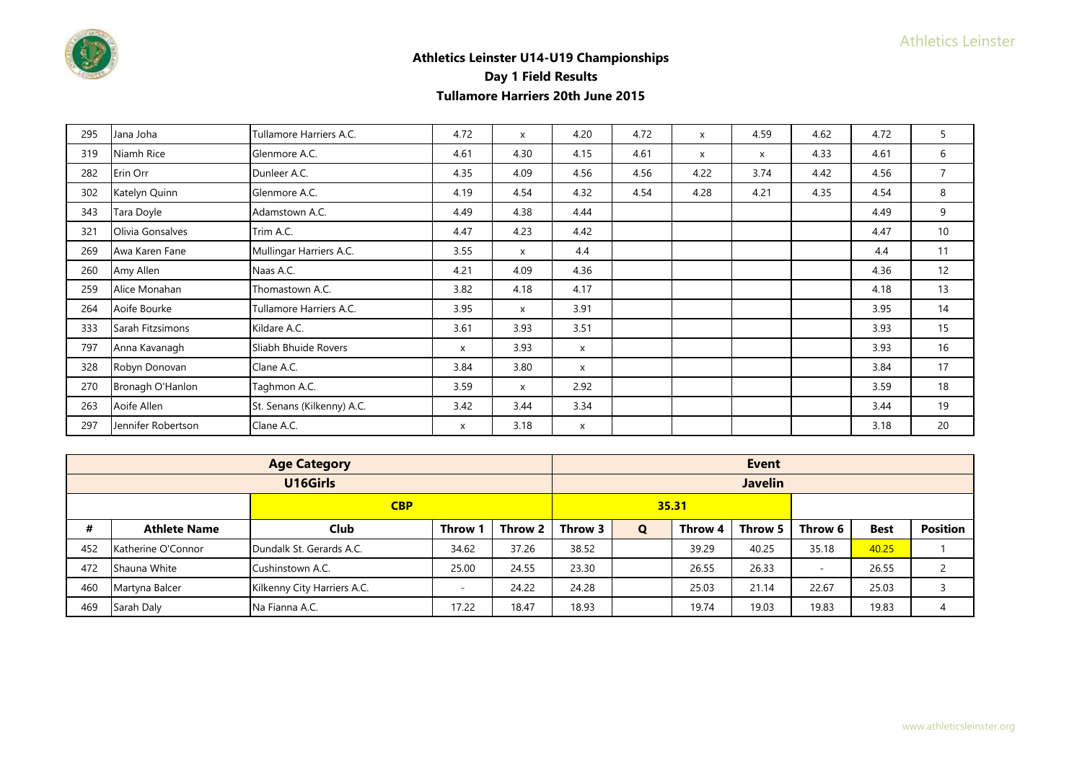

| 295 | Jana Joha          | Tullamore Harriers A.C.    | 4.72 | X            | 4.20                      | 4.72 | X    | 4.59         | 4.62 | 4.72 | 5               |
|-----|--------------------|----------------------------|------|--------------|---------------------------|------|------|--------------|------|------|-----------------|
| 319 | Niamh Rice         | Glenmore A.C.              | 4.61 | 4.30         | 4.15                      | 4.61 | X    | $\mathsf{x}$ | 4.33 | 4.61 | 6               |
| 282 | Erin Orr           | Dunleer A.C.               | 4.35 | 4.09         | 4.56                      | 4.56 | 4.22 | 3.74         | 4.42 | 4.56 | $\overline{7}$  |
| 302 | Katelyn Quinn      | Glenmore A.C.              | 4.19 | 4.54         | 4.32                      | 4.54 | 4.28 | 4.21         | 4.35 | 4.54 | 8               |
| 343 | Tara Doyle         | Adamstown A.C.             | 4.49 | 4.38         | 4.44                      |      |      |              |      | 4.49 | 9               |
| 321 | Olivia Gonsalves   | Trim A.C.                  | 4.47 | 4.23         | 4.42                      |      |      |              |      | 4.47 | 10 <sup>°</sup> |
| 269 | Awa Karen Fane     | Mullingar Harriers A.C.    | 3.55 | $\mathsf{x}$ | 4.4                       |      |      |              |      | 4.4  | 11              |
| 260 | Amy Allen          | Naas A.C.                  | 4.21 | 4.09         | 4.36                      |      |      |              |      | 4.36 | 12              |
| 259 | Alice Monahan      | Thomastown A.C.            | 3.82 | 4.18         | 4.17                      |      |      |              |      | 4.18 | 13              |
| 264 | Aoife Bourke       | Tullamore Harriers A.C.    | 3.95 | X            | 3.91                      |      |      |              |      | 3.95 | 14              |
| 333 | Sarah Fitzsimons   | Kildare A.C.               | 3.61 | 3.93         | 3.51                      |      |      |              |      | 3.93 | 15              |
| 797 | Anna Kavanagh      | Sliabh Bhuide Rovers       | X    | 3.93         | X                         |      |      |              |      | 3.93 | 16              |
| 328 | Robyn Donovan      | Clane A.C.                 | 3.84 | 3.80         | $\boldsymbol{\mathsf{x}}$ |      |      |              |      | 3.84 | 17              |
| 270 | Bronagh O'Hanlon   | Taghmon A.C.               | 3.59 | X            | 2.92                      |      |      |              |      | 3.59 | 18              |
| 263 | Aoife Allen        | St. Senans (Kilkenny) A.C. | 3.42 | 3.44         | 3.34                      |      |      |              |      | 3.44 | 19              |
| 297 | Jennifer Robertson | Clane A.C.                 | X    | 3.18         | X                         |      |      |              |      | 3.18 | 20              |

|            |                     | <b>Age Category</b>         |              |         |         |   |         | <b>Event</b>   |         |             |                 |
|------------|---------------------|-----------------------------|--------------|---------|---------|---|---------|----------------|---------|-------------|-----------------|
|            |                     | U16Girls                    |              |         |         |   |         | <b>Javelin</b> |         |             |                 |
| <b>CBP</b> |                     |                             |              |         | 35.31   |   |         |                |         |             |                 |
| #          | <b>Athlete Name</b> | <b>Club</b>                 | <b>Throw</b> | Throw 2 | Throw 3 | Q | Throw 4 | Throw 5        | Throw 6 | <b>Best</b> | <b>Position</b> |
| 452        | Katherine O'Connor  | Dundalk St. Gerards A.C.    | 34.62        | 37.26   | 38.52   |   | 39.29   | 40.25          | 35.18   | 40.25       |                 |
| 472        | Shauna White        | Cushinstown A.C.            | 25.00        | 24.55   | 23.30   |   | 26.55   | 26.33          | $\sim$  | 26.55       |                 |
| 460        | Martyna Balcer      | Kilkenny City Harriers A.C. |              | 24.22   | 24.28   |   | 25.03   | 21.14          | 22.67   | 25.03       |                 |
| 469        | Sarah Daly          | Na Fianna A.C.              | 17.22        | 18.47   | 18.93   |   | 19.74   | 19.03          | 19.83   | 19.83       | 4               |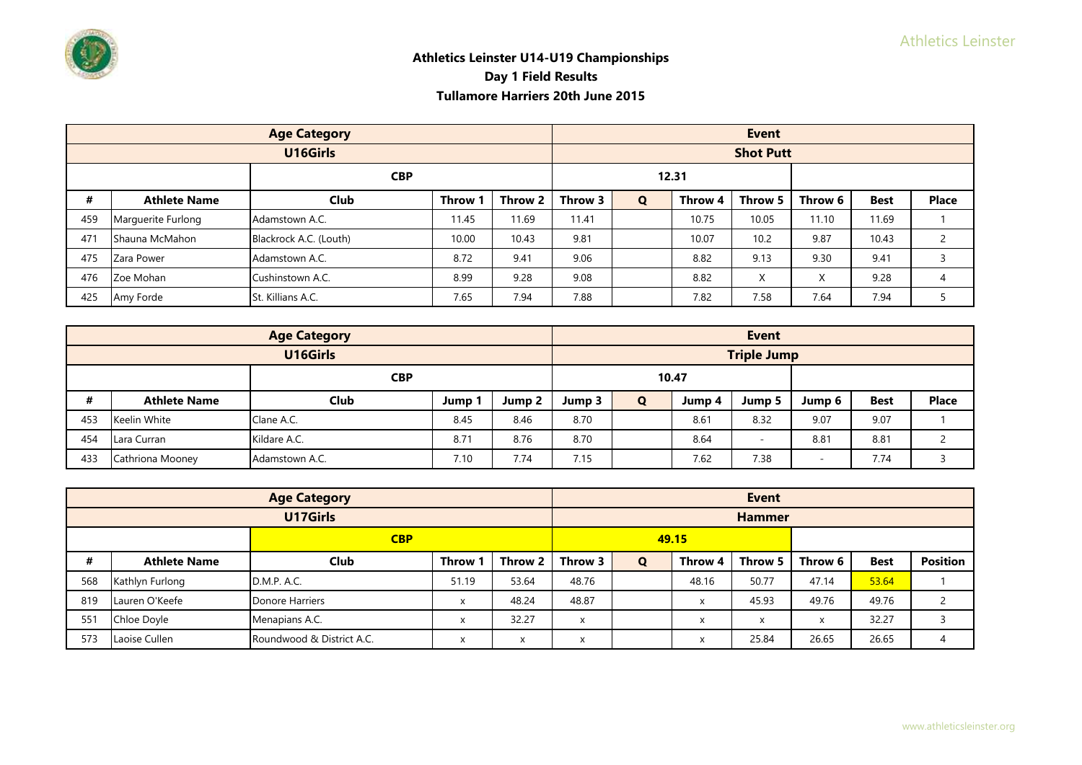

|     |                     | <b>Age Category</b>    |              |         | <b>Event</b> |   |         |                  |         |             |               |  |
|-----|---------------------|------------------------|--------------|---------|--------------|---|---------|------------------|---------|-------------|---------------|--|
|     |                     | U16Girls               |              |         |              |   |         | <b>Shot Putt</b> |         |             |               |  |
|     | <b>CBP</b>          |                        |              |         |              |   | 12.31   |                  |         |             |               |  |
| #   | <b>Athlete Name</b> | <b>Club</b>            | <b>Throw</b> | Throw 2 | Throw 3      | Q | Throw 4 | Throw 5          | Throw 6 | <b>Best</b> | <b>Place</b>  |  |
| 459 | Marquerite Furlong  | Adamstown A.C.         | 11.45        | 11.69   | 11.41        |   | 10.75   | 10.05            | 11.10   | 11.69       |               |  |
| 471 | Shauna McMahon      | Blackrock A.C. (Louth) | 10.00        | 10.43   | 9.81         |   | 10.07   | 10.2             | 9.87    | 10.43       | $\mathcal{L}$ |  |
| 475 | Zara Power          | Adamstown A.C.         | 8.72         | 9.41    | 9.06         |   | 8.82    | 9.13             | 9.30    | 9.41        |               |  |
| 476 | Zoe Mohan           | Cushinstown A.C.       | 8.99         | 9.28    | 9.08         |   | 8.82    | X                | X       | 9.28        |               |  |
| 425 | Amy Forde           | St. Killians A.C.      | 7.65         | 7.94    | 7.88         |   | 7.82    | 7.58             | 7.64    | 7.94        |               |  |

|            |                     | <b>Age Category</b> |      |        |        |   |        | <b>Event</b>       |        |             |              |
|------------|---------------------|---------------------|------|--------|--------|---|--------|--------------------|--------|-------------|--------------|
|            |                     | U16Girls            |      |        |        |   |        | <b>Triple Jump</b> |        |             |              |
| <b>CBP</b> |                     |                     |      | 10.47  |        |   |        |                    |        |             |              |
| #          | <b>Athlete Name</b> | <b>Club</b>         | Jump | Jump 2 | Jump 3 | Q | Jump 4 | Jump 5             | Jump 6 | <b>Best</b> | <b>Place</b> |
| 453        | Keelin White        | Clane A.C.          | 8.45 | 8.46   | 8.70   |   | 8.61   | 8.32               | 9.07   | 9.07        |              |
| 454        | Lara Curran         | Kildare A.C.        | 8.71 | 8.76   | 8.70   |   | 8.64   |                    | 8.81   | 8.81        |              |
| 433        | Cathriona Mooney    | Adamstown A.C.      | 7.10 | 7.74   | 7.15   |   | 7.62   | 7.38               |        | 7.74        |              |

|            |                     | <b>Age Category</b>       |              |         |                              |       |         | <b>Event</b>                         |         |             |                 |
|------------|---------------------|---------------------------|--------------|---------|------------------------------|-------|---------|--------------------------------------|---------|-------------|-----------------|
|            |                     | U17Girls                  |              |         |                              |       |         | <b>Hammer</b>                        |         |             |                 |
| <b>CBP</b> |                     |                           |              |         |                              | 49.15 |         |                                      |         |             |                 |
| #          | <b>Athlete Name</b> | <b>Club</b>               | <b>Throw</b> | Throw 2 | Throw 3                      | Q     | Throw 4 | Throw 5                              | Throw 6 | <b>Best</b> | <b>Position</b> |
| 568        | Kathlyn Furlong     | D.M.P. A.C.               | 51.19        | 53.64   | 48.76                        |       | 48.16   | 50.77                                | 47.14   | 53.64       |                 |
| 819        | Lauren O'Keefe      | Donore Harriers           | X            | 48.24   | 48.87                        |       | X       | 45.93                                | 49.76   | 49.76       |                 |
| 551        | Chloe Doyle         | Menapians A.C.            |              | 32.27   | $\mathsf{x}$                 |       | X       | $\overline{\mathbf{v}}$<br>$\lambda$ | X       | 32.27       |                 |
| 573        | Laoise Cullen       | Roundwood & District A.C. | $\lambda$    | X       | $\checkmark$<br>$\mathbf{v}$ |       | X       | 25.84                                | 26.65   | 26.65       |                 |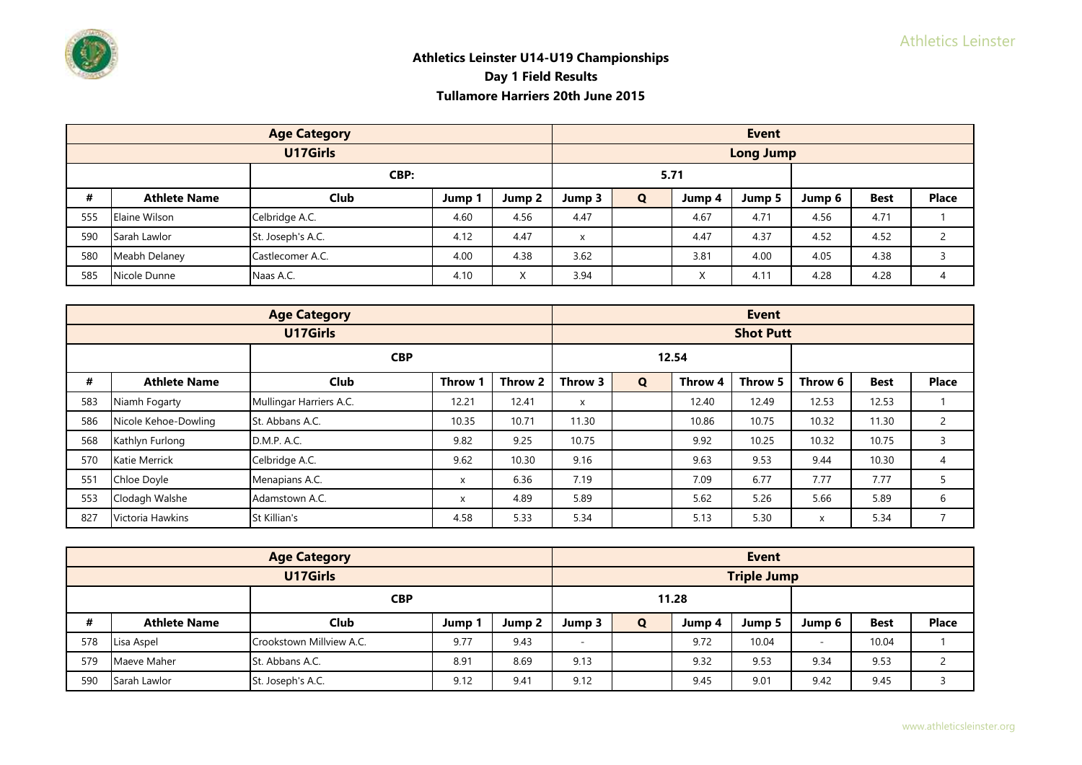

|      |                     | <b>Age Category</b> |      |                   |        |      |           | <b>Event</b>     |        |             |              |
|------|---------------------|---------------------|------|-------------------|--------|------|-----------|------------------|--------|-------------|--------------|
|      |                     | U17Girls            |      |                   |        |      |           | <b>Long Jump</b> |        |             |              |
| CBP: |                     |                     |      |                   |        | 5.71 |           |                  |        |             |              |
| #    | <b>Athlete Name</b> | <b>Club</b>         | Jump | Jump 2            | Jump 3 | Q    | Jump 4    | Jump 5           | Jump 6 | <b>Best</b> | <b>Place</b> |
| 555  | Elaine Wilson       | Celbridge A.C.      | 4.60 | 4.56              | 4.47   |      | 4.67      | 4.71             | 4.56   | 4.71        |              |
| 590  | Sarah Lawlor        | St. Joseph's A.C.   | 4.12 | 4.47              | X      |      | 4.47      | 4.37             | 4.52   | 4.52        |              |
| 580  | Meabh Delaney       | Castlecomer A.C.    | 4.00 | 4.38              | 3.62   |      | 3.81      | 4.00             | 4.05   | 4.38        |              |
| 585  | Nicole Dunne        | Naas A.C.           | 4.10 | $\checkmark$<br>⋏ | 3.94   |      | $\lambda$ | 4.11             | 4.28   | 4.28        |              |

|     |                      | <b>Age Category</b>     |              |         |         |   |         | <b>Event</b>     |         |             |                |
|-----|----------------------|-------------------------|--------------|---------|---------|---|---------|------------------|---------|-------------|----------------|
|     |                      | U17Girls                |              |         |         |   |         | <b>Shot Putt</b> |         |             |                |
|     | <b>CBP</b>           |                         |              |         |         |   | 12.54   |                  |         |             |                |
| #   | <b>Athlete Name</b>  | <b>Club</b>             | <b>Throw</b> | Throw 2 | Throw 3 | Q | Throw 4 | Throw 5          | Throw 6 | <b>Best</b> | <b>Place</b>   |
| 583 | Niamh Fogarty        | Mullingar Harriers A.C. | 12.21        | 12.41   | X       |   | 12.40   | 12.49            | 12.53   | 12.53       |                |
| 586 | Nicole Kehoe-Dowling | St. Abbans A.C.         | 10.35        | 10.71   | 11.30   |   | 10.86   | 10.75            | 10.32   | 11.30       | $\overline{2}$ |
| 568 | Kathlyn Furlong      | D.M.P. A.C.             | 9.82         | 9.25    | 10.75   |   | 9.92    | 10.25            | 10.32   | 10.75       | 3              |
| 570 | <b>Katie Merrick</b> | Celbridge A.C.          | 9.62         | 10.30   | 9.16    |   | 9.63    | 9.53             | 9.44    | 10.30       | 4              |
| 551 | Chloe Doyle          | Menapians A.C.          | X            | 6.36    | 7.19    |   | 7.09    | 6.77             | 7.77    | 7.77        |                |
| 553 | Clodagh Walshe       | Adamstown A.C.          | X            | 4.89    | 5.89    |   | 5.62    | 5.26             | 5.66    | 5.89        | 6              |
| 827 | Victoria Hawkins     | St Killian's            | 4.58         | 5.33    | 5.34    |   | 5.13    | 5.30             | X       | 5.34        | $\overline{ }$ |

|            |                     | <b>Age Category</b>      |      |        |                          |              |        | <b>Event</b>       |                          |             |              |
|------------|---------------------|--------------------------|------|--------|--------------------------|--------------|--------|--------------------|--------------------------|-------------|--------------|
|            |                     | U17Girls                 |      |        |                          |              |        | <b>Triple Jump</b> |                          |             |              |
| <b>CBP</b> |                     |                          |      | 11.28  |                          |              |        |                    |                          |             |              |
| #          | <b>Athlete Name</b> | <b>Club</b>              | Jump | Jump 2 | Jump 3                   | $\mathbf{o}$ | Jump 4 | Jump 5             | Jump 6                   | <b>Best</b> | <b>Place</b> |
| 578        | Lisa Aspel          | Crookstown Millyjew A.C. | 9.77 | 9.43   | $\overline{\phantom{a}}$ |              | 9.72   | 10.04              | $\overline{\phantom{a}}$ | 10.04       |              |
| 579        | Maeve Maher         | St. Abbans A.C.          | 8.91 | 8.69   | 9.13                     |              | 9.32   | 9.53               | 9.34                     | 9.53        |              |
| 590        | Sarah Lawlor        | St. Joseph's A.C.        | 9.12 | 9.41   | 9.12                     |              | 9.45   | 9.01               | 9.42                     | 9.45        |              |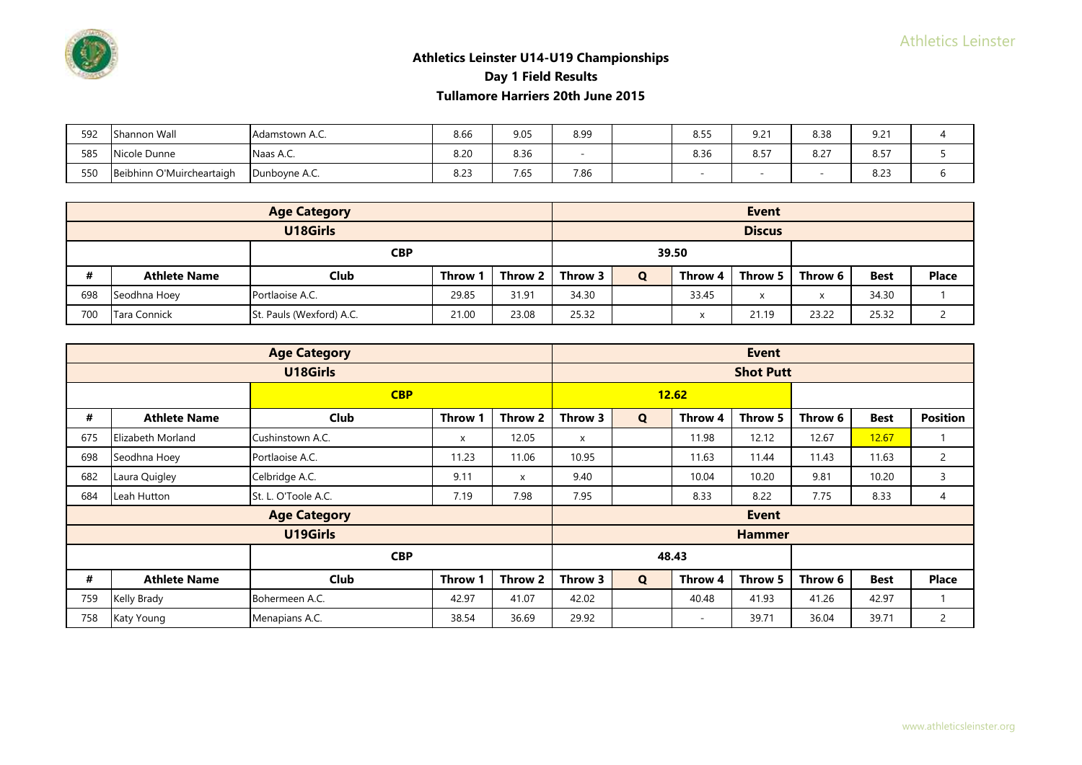| 592 | nannon Wall۔             | Adamstown A.C. | 8.66         | 9.05 | 8.99                     | 8.55 | 9.21         | 8.38    | $9.2^{\circ}$ |  |
|-----|--------------------------|----------------|--------------|------|--------------------------|------|--------------|---------|---------------|--|
| 585 | Nicole Dunne             | Naas A.C.      | 8.20         | 8.36 | $\overline{\phantom{a}}$ | 8.36 | . .-<br>8.5. | $8.2^-$ | 0.57<br>O.D.  |  |
| 550 | eibhinn O'Muircheartaigh | Dunboyne A.C.  | 0.27<br>8.Z3 | 7.65 | 7.86                     |      |              |         | 0.23<br>8.Z3  |  |

|            |                     | <b>Age Category</b>      |         |         |         |              |         | <b>Event</b>  |         |             |              |
|------------|---------------------|--------------------------|---------|---------|---------|--------------|---------|---------------|---------|-------------|--------------|
|            |                     | U18Girls                 |         |         |         |              |         | <b>Discus</b> |         |             |              |
| <b>CBP</b> |                     |                          |         | 39.50   |         |              |         |               |         |             |              |
| #          | <b>Athlete Name</b> | Club                     | Throw 1 | Throw 2 | Throw 3 | $\mathbf{o}$ | Throw 4 | Throw 5 L     | Throw 6 | <b>Best</b> | <b>Place</b> |
| 698        | Seodhna Hoey        | Portlaoise A.C.          | 29.85   | 31.91   | 34.30   |              | 33.45   | X             | X       | 34.30       |              |
| 700        | Tara Connick        | St. Pauls (Wexford) A.C. | 21.00   | 23.08   | 25.32   |              | x       | 21.19         | 23.22   | 25.32       |              |

|                                              |                     | <b>Age Category</b> |              |         |         |             |         | <b>Event</b>     |         |             |                 |
|----------------------------------------------|---------------------|---------------------|--------------|---------|---------|-------------|---------|------------------|---------|-------------|-----------------|
|                                              |                     | U18Girls            |              |         |         |             |         | <b>Shot Putt</b> |         |             |                 |
|                                              |                     | <b>CBP</b>          |              |         |         |             | 12.62   |                  |         |             |                 |
| #                                            | <b>Athlete Name</b> | <b>Club</b>         | Throw 1      | Throw 2 | Throw 3 | $\mathbf Q$ | Throw 4 | Throw 5          | Throw 6 | <b>Best</b> | <b>Position</b> |
| 675                                          | Elizabeth Morland   | Cushinstown A.C.    | $\mathsf{x}$ | 12.05   | X       |             | 11.98   | 12.12            | 12.67   | 12.67       |                 |
| 698                                          | Seodhna Hoey        | Portlaoise A.C.     | 11.23        | 11.06   | 10.95   |             | 11.63   | 11.44            | 11.43   | 11.63       | 2               |
| 682                                          | Laura Quigley       | Celbridge A.C.      | 9.11         | X       | 9.40    |             | 10.04   | 10.20            | 9.81    | 10.20       | 3               |
| 684                                          | Leah Hutton         | St. L. O'Toole A.C. | 7.19         | 7.98    | 7.95    |             | 8.33    | 8.22             | 7.75    | 8.33        | 4               |
|                                              |                     | <b>Age Category</b> |              |         |         |             |         | <b>Event</b>     |         |             |                 |
|                                              |                     | U19Girls            |              |         |         |             |         | <b>Hammer</b>    |         |             |                 |
|                                              |                     | <b>CBP</b>          |              |         |         |             | 48.43   |                  |         |             |                 |
| #                                            | <b>Athlete Name</b> | <b>Club</b>         | Throw 1      | Throw 2 | Throw 3 | $\mathbf Q$ | Throw 4 | Throw 5          | Throw 6 | <b>Best</b> | <b>Place</b>    |
| 759                                          | Kelly Brady         | Bohermeen A.C.      | 42.97        | 41.07   | 42.02   |             | 40.48   | 41.93            | 41.26   | 42.97       |                 |
| Menapians A.C.<br>Katy Young<br>38.54<br>758 |                     |                     | 36.69        | 29.92   |         | $\sim$      | 39.71   | 36.04            | 39.71   | 2           |                 |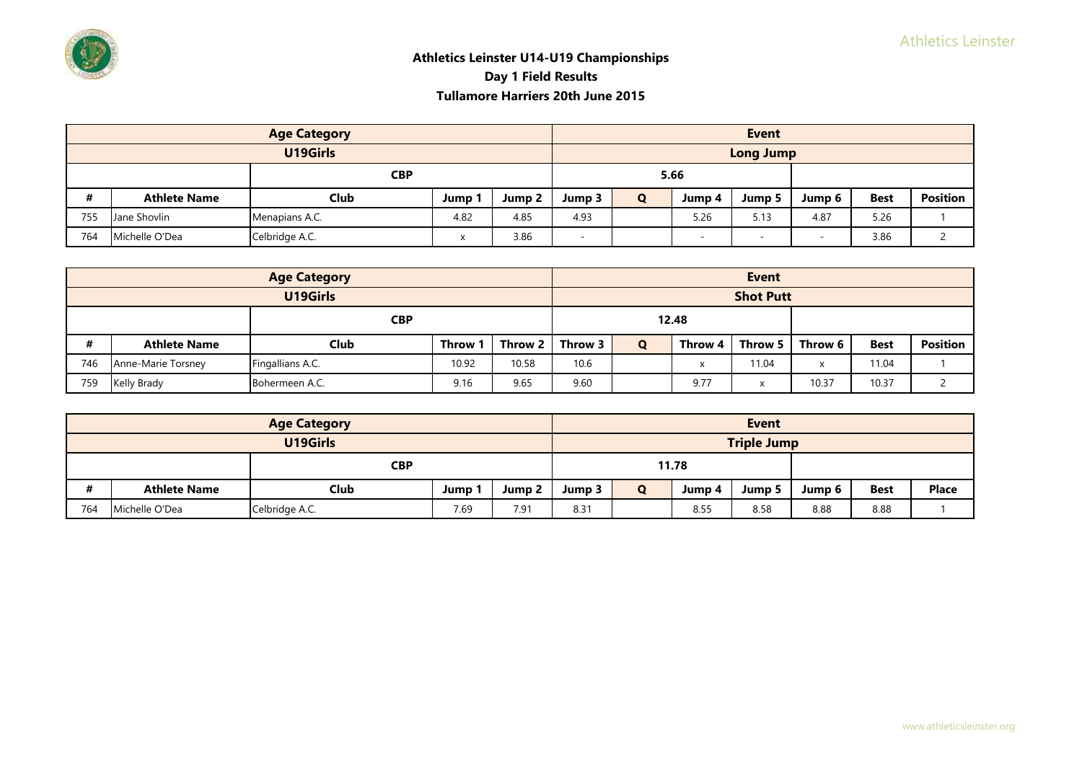

|     |                     | <b>Age Category</b> |      |        |                          |   |                          | <b>Event</b>     |                          |             |                 |
|-----|---------------------|---------------------|------|--------|--------------------------|---|--------------------------|------------------|--------------------------|-------------|-----------------|
|     |                     | U19Girls            |      |        |                          |   |                          | <b>Long Jump</b> |                          |             |                 |
|     |                     | <b>CBP</b>          |      |        |                          |   | 5.66                     |                  |                          |             |                 |
| #   | <b>Athlete Name</b> | Club                | Jump | Jump 2 | Jump 3                   | Q | Jump 4                   | Jump 5           | Jump 6                   | <b>Best</b> | <b>Position</b> |
| 755 | Jane Shovlin        | Menapians A.C.      | 4.82 | 4.85   | 4.93                     |   | 5.26                     | 5.13             | 4.87                     | 5.26        |                 |
| 764 | Michelle O'Dea      | Celbridge A.C.      |      | 3.86   | $\overline{\phantom{0}}$ |   | $\overline{\phantom{a}}$ |                  | $\overline{\phantom{a}}$ | 3.86        |                 |

|     |                     | <b>Age Category</b> |         |         |         |       | <b>Event</b> |                  |                |             |                 |
|-----|---------------------|---------------------|---------|---------|---------|-------|--------------|------------------|----------------|-------------|-----------------|
|     |                     | U19Girls            |         |         |         |       |              | <b>Shot Putt</b> |                |             |                 |
|     |                     | <b>CBP</b>          |         |         |         | 12.48 |              |                  |                |             |                 |
| #   | <b>Athlete Name</b> | <b>Club</b>         | Throw 1 | Throw 2 | Throw 3 | Q     | Throw 4      | Throw 5 L        | Throw 6        | <b>Best</b> | <b>Position</b> |
| 746 | Anne-Marie Torsney  | Fingallians A.C.    | 10.92   | 10.58   | 10.6    |       | x            | 1.04             | $\overline{ }$ | 11.04       |                 |
| 759 | Kelly Brady         | Bohermeen A.C.      | 9.16    | 9.65    | 9.60    |       | 9.77         | $\cdot$          | 10.37          | 10.37       |                 |

|     |                     | <b>Age Category</b> |      |                   |        |   |        | <b>Event</b>       |        |             |              |
|-----|---------------------|---------------------|------|-------------------|--------|---|--------|--------------------|--------|-------------|--------------|
|     |                     | U19Girls            |      |                   |        |   |        | <b>Triple Jump</b> |        |             |              |
|     |                     | <b>CBP</b>          |      |                   |        |   | 11.78  |                    |        |             |              |
| #   | <b>Athlete Name</b> | Club                | Jump | Jump <sub>2</sub> | Jump 3 | O | Jump 4 | Jump 5             | Jump 6 | <b>Best</b> | <b>Place</b> |
| 764 | Michelle O'Dea      | Celbridge A.C.      | 7.69 | 7.91              | 8.31   |   | 8.55   | 8.58               | 8.88   | 8.88        |              |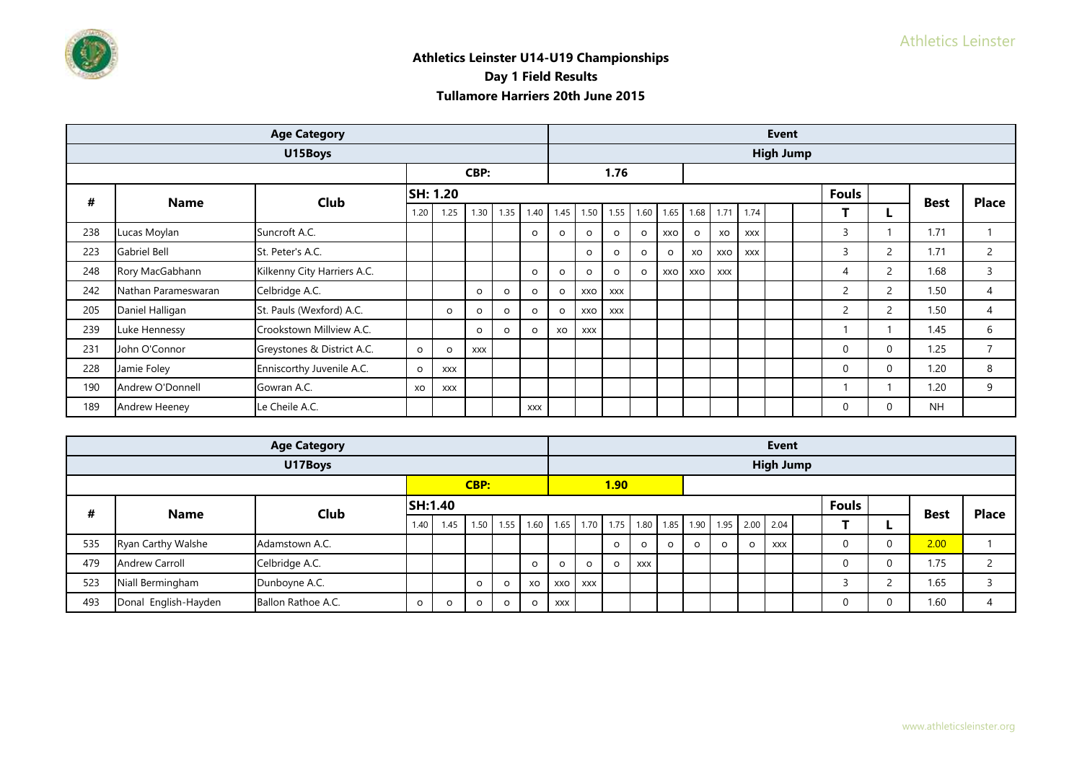|     |                     | <b>Age Category</b>         |          |            |            |          |            |         |            |            |         |         |         |            |            | <b>Event</b>     |                |                |             |                |
|-----|---------------------|-----------------------------|----------|------------|------------|----------|------------|---------|------------|------------|---------|---------|---------|------------|------------|------------------|----------------|----------------|-------------|----------------|
|     |                     | U15Boys                     |          |            |            |          |            |         |            |            |         |         |         |            |            | <b>High Jump</b> |                |                |             |                |
|     |                     |                             |          |            | CBP:       |          |            |         |            | 1.76       |         |         |         |            |            |                  |                |                |             |                |
| #   | <b>Name</b>         | <b>Club</b>                 | SH: 1.20 |            |            |          |            |         |            |            |         |         |         |            |            |                  | <b>Fouls</b>   |                | <b>Best</b> | <b>Place</b>   |
|     |                     |                             | 1.20     | 1.25       | 1.30       | 1.35     | 1.40       | 1.45    | 1.50       | 1.55       | 1.60    | 1.65    | 1.68    | 1.71       | 1.74       |                  |                |                |             |                |
| 238 | Lucas Moylan        | Suncroft A.C.               |          |            |            |          | $\circ$    | $\circ$ | $\circ$    | $\circ$    | $\circ$ | XXO     | $\circ$ | XO         | <b>XXX</b> |                  | 3              |                | 1.71        |                |
| 223 | Gabriel Bell        | St. Peter's A.C.            |          |            |            |          |            |         | $\circ$    | $\circ$    | $\circ$ | $\circ$ | XO      | XXO        | <b>XXX</b> |                  | 3              | $\overline{2}$ | 1.71        | $\overline{2}$ |
| 248 | Rory MacGabhann     | Kilkenny City Harriers A.C. |          |            |            |          | $\circ$    | $\circ$ | O          | $\circ$    | $\circ$ |         | XXO XXO | <b>XXX</b> |            |                  | 4              | $\overline{2}$ | 1.68        | 3              |
| 242 | Nathan Parameswaran | Celbridge A.C.              |          |            | $\circ$    | $\Omega$ | $\circ$    | $\circ$ | XXO        | <b>XXX</b> |         |         |         |            |            |                  | $\overline{2}$ | $\overline{2}$ | 1.50        | 4              |
| 205 | Daniel Halligan     | St. Pauls (Wexford) A.C.    |          | $\circ$    | $\circ$    | $\Omega$ | $\circ$    | $\circ$ | XXO        | <b>XXX</b> |         |         |         |            |            |                  | $\overline{2}$ | $\overline{2}$ | 1.50        | 4              |
| 239 | Luke Hennessy       | Crookstown Millview A.C.    |          |            | $\circ$    | $\Omega$ | $\circ$    | XO      | <b>XXX</b> |            |         |         |         |            |            |                  |                |                | 1.45        | 6              |
| 231 | John O'Connor       | Greystones & District A.C.  | $\Omega$ | $\circ$    | <b>XXX</b> |          |            |         |            |            |         |         |         |            |            |                  | $\Omega$       | $\Omega$       | 1.25        | $\overline{7}$ |
| 228 | Jamie Foley         | Enniscorthy Juvenile A.C.   | $\Omega$ | <b>XXX</b> |            |          |            |         |            |            |         |         |         |            |            |                  | $\Omega$       | $\Omega$       | 1.20        | 8              |
| 190 | Andrew O'Donnell    | Gowran A.C.                 | XO       | <b>XXX</b> |            |          |            |         |            |            |         |         |         |            |            |                  |                |                | 1.20        | 9              |
| 189 | Andrew Heeney       | Le Cheile A.C.              |          |            |            |          | <b>XXX</b> |         |            |            |         |         |         |            |            |                  | 0              | $\Omega$       | <b>NH</b>   |                |

|     |                       | <b>Age Category</b> |                |          |          |          |                     |                           |            |                   |            |          |                                    |   | Event            |              |   |             |              |
|-----|-----------------------|---------------------|----------------|----------|----------|----------|---------------------|---------------------------|------------|-------------------|------------|----------|------------------------------------|---|------------------|--------------|---|-------------|--------------|
|     |                       | U17Boys             |                |          |          |          |                     |                           |            |                   |            |          |                                    |   | <b>High Jump</b> |              |   |             |              |
|     |                       |                     |                |          | CBP:     |          |                     |                           |            | 1.90 <sub>1</sub> |            |          |                                    |   |                  |              |   |             |              |
| #   |                       | Club                | <b>SH:1.40</b> |          |          |          |                     |                           |            |                   |            |          |                                    |   |                  | <b>Fouls</b> |   |             | <b>Place</b> |
|     | <b>Name</b>           |                     | 1.40           | 1.45     | 1.50     |          | 1.55 1.60 1.65 1.70 |                           |            |                   |            |          | 1.75 1.80 1.85 1.90 1.95 2.00 2.04 |   |                  |              |   | <b>Best</b> |              |
| 535 | Ryan Carthy Walshe    | Adamstown A.C.      |                |          |          |          |                     |                           |            | $\circ$           | O          | $\Omega$ |                                    | O | XXX              |              | 0 | 2.00        |              |
| 479 | <b>Andrew Carroll</b> | Celbridge A.C.      |                |          |          |          | $\Omega$            | $\circ$                   | $\Omega$   | $\circ$           | <b>XXX</b> |          |                                    |   |                  |              | 0 | 1.75        | $\sim$       |
| 523 | Niall Bermingham      | Dunboyne A.C.       |                |          | $\Omega$ | $\Omega$ | XO                  | $\sqrt{2}$ xxo $\sqrt{2}$ | <b>XXX</b> |                   |            |          |                                    |   |                  |              |   | 1.65        |              |
| 493 | Donal English-Hayden  | Ballon Rathoe A.C.  | $\circ$        | $\Omega$ | $\circ$  | $\Omega$ | $\Omega$            | XXX                       |            |                   |            |          |                                    |   |                  |              | C | 1.60        | 4            |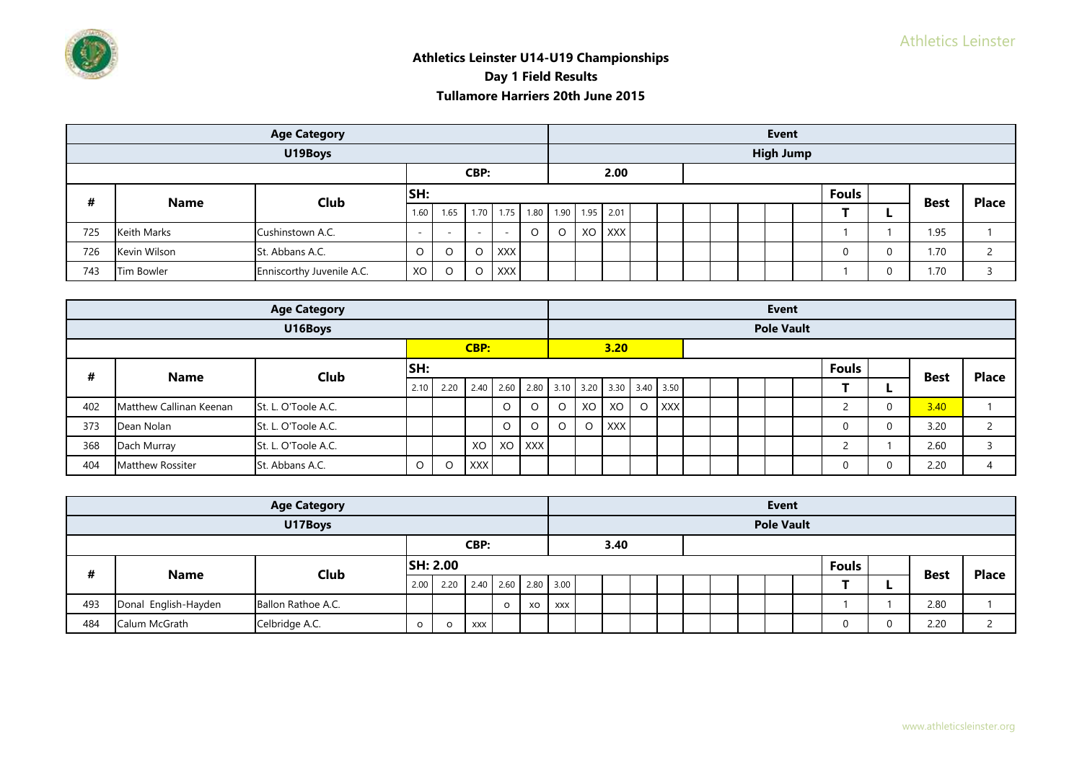|     |              | <b>Age Category</b>       |         |         |         |                               |         |        |  |  | <b>Event</b>     |              |   |             |              |
|-----|--------------|---------------------------|---------|---------|---------|-------------------------------|---------|--------|--|--|------------------|--------------|---|-------------|--------------|
|     |              | U19Boys                   |         |         |         |                               |         |        |  |  | <b>High Jump</b> |              |   |             |              |
|     |              |                           |         |         | CBP:    |                               |         | 2.00   |  |  |                  |              |   |             |              |
| #   | <b>Name</b>  | Club                      | SH:     |         |         |                               |         |        |  |  |                  | <b>Fouls</b> |   |             | <b>Place</b> |
|     |              |                           | 1.60    | 1.65    |         | 1.70 1.75 1.80 1.90 1.95 2.01 |         |        |  |  |                  |              | - | <b>Best</b> |              |
| 725 | Keith Marks  | Cushinstown A.C.          | $\sim$  |         |         | -                             | $\circ$ | XO XXX |  |  |                  |              |   | 1.95        |              |
| 726 | Kevin Wilson | St. Abbans A.C.           | $\circ$ | O       | O       | <b>XXX</b>                    |         |        |  |  |                  | $\Omega$     |   | 1.70        |              |
| 743 | Tim Bowler   | Enniscorthy Juvenile A.C. | XO      | $\circ$ | $\circ$ | <b>XXX</b>                    |         |        |  |  |                  |              |   | 1.70        |              |

|     |                         | <b>Age Category</b> |         |         |            |         |   |         |                                         |         |            |  | Event             |              |             |             |              |
|-----|-------------------------|---------------------|---------|---------|------------|---------|---|---------|-----------------------------------------|---------|------------|--|-------------------|--------------|-------------|-------------|--------------|
|     |                         | U16Boys             |         |         |            |         |   |         |                                         |         |            |  | <b>Pole Vault</b> |              |             |             |              |
|     |                         |                     |         |         | CBP:       |         |   |         | 3.20                                    |         |            |  |                   |              |             |             |              |
| #   | <b>Name</b>             | Club                | SH:     |         |            |         |   |         |                                         |         |            |  |                   | <b>Fouls</b> |             | <b>Best</b> | <b>Place</b> |
|     |                         |                     | 2.10    | 2.20    |            |         |   |         | 2.40 2.60 2.80 3.10 3.20 3.30 3.40 3.50 |         |            |  |                   |              |             |             |              |
| 402 | Matthew Callinan Keenan | St. L. O'Toole A.C. |         |         |            | $\circ$ | O | XO      | XO                                      | $\circ$ | <b>XXX</b> |  |                   |              | $\mathbf 0$ | 3.40        |              |
| 373 | Dean Nolan              | St. L. O'Toole A.C. |         |         |            | $\circ$ | O | $\circ$ | <b>XXX</b>                              |         |            |  |                   |              | $\mathbf 0$ | 3.20        | ے            |
| 368 | Dach Murray             | St. L. O'Toole A.C. |         |         | XO         | XO XXX  |   |         |                                         |         |            |  |                   |              |             | 2.60        |              |
| 404 | Matthew Rossiter        | St. Abbans A.C.     | $\circ$ | $\circ$ | <b>XXX</b> |         |   |         |                                         |         |            |  |                   |              | $\mathbf 0$ | 2.20        |              |

|     |                      | <b>Age Category</b> |         |                 |      |                     |    |     |      |  |  | Event             |              |             |              |
|-----|----------------------|---------------------|---------|-----------------|------|---------------------|----|-----|------|--|--|-------------------|--------------|-------------|--------------|
|     |                      | U17Boys             |         |                 |      |                     |    |     |      |  |  | <b>Pole Vault</b> |              |             |              |
|     |                      |                     |         |                 | CBP: |                     |    |     | 3.40 |  |  |                   |              |             |              |
| #   |                      | Club                |         | <b>SH: 2.00</b> |      |                     |    |     |      |  |  |                   | <b>Fouls</b> |             | <b>Place</b> |
|     | <b>Name</b>          |                     | 2.00    | 2.20            |      | 2.40 2.60 2.80 3.00 |    |     |      |  |  |                   |              | <b>Best</b> |              |
| 493 | Donal English-Hayden | Ballon Rathoe A.C.  |         |                 |      | $\circ$             | XO | XXX |      |  |  |                   |              | 2.80        |              |
| 484 | Calum McGrath        | Celbridge A.C.      | $\circ$ | $\circ$         | XXX  |                     |    |     |      |  |  |                   |              | 2.20        |              |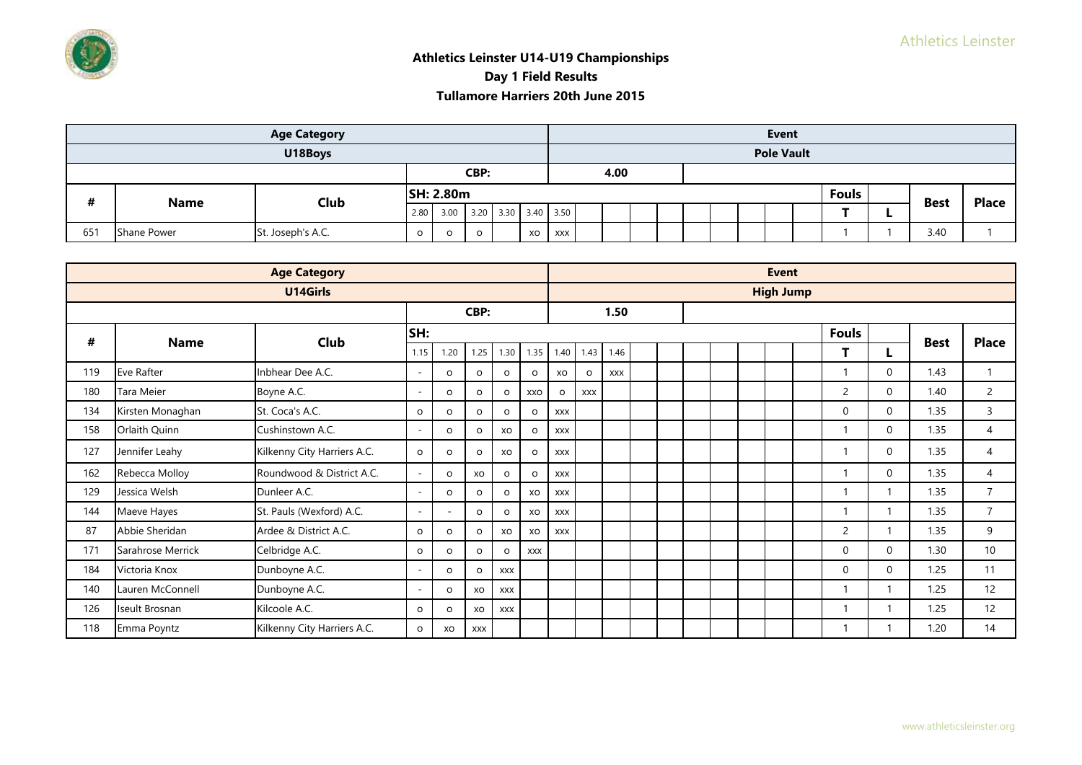

|     |                    | <b>Age Category</b> |         |                  |         |                     |    |            |      |  |  | Event             |              |             |              |
|-----|--------------------|---------------------|---------|------------------|---------|---------------------|----|------------|------|--|--|-------------------|--------------|-------------|--------------|
|     |                    | U18Boys             |         |                  |         |                     |    |            |      |  |  | <b>Pole Vault</b> |              |             |              |
|     |                    |                     |         |                  | CBP:    |                     |    |            | 4.00 |  |  |                   |              |             |              |
| #   | <b>Name</b>        | Club                |         | <b>SH: 2.80m</b> |         |                     |    |            |      |  |  |                   | <b>Fouls</b> | <b>Best</b> | <b>Place</b> |
|     |                    |                     |         | 2.80 3.00        |         | 3.20 3.30 3.40 3.50 |    |            |      |  |  |                   |              |             |              |
| 651 | <b>Shane Power</b> | St. Joseph's A.C.   | $\circ$ | O                | $\circ$ |                     | xo | <b>XXX</b> |      |  |  |                   |              | 3.40        |              |

|     |                   | <b>Age Category</b>         |         |         |             |            |            |            |            |            |  |  | <b>Event</b>     |                |              |             |                |
|-----|-------------------|-----------------------------|---------|---------|-------------|------------|------------|------------|------------|------------|--|--|------------------|----------------|--------------|-------------|----------------|
|     |                   | U14Girls                    |         |         |             |            |            |            |            |            |  |  | <b>High Jump</b> |                |              |             |                |
|     |                   |                             |         |         | CBP:        |            |            |            |            | 1.50       |  |  |                  |                |              |             |                |
| #   | <b>Name</b>       | Club                        | SH:     |         |             |            |            |            |            |            |  |  |                  | <b>Fouls</b>   |              | <b>Best</b> | <b>Place</b>   |
|     |                   |                             | 1.15    | 1.20    | 1.25        | 1.30       | 1.35       | 1.40       | 1.43       | 1.46       |  |  |                  | т              |              |             |                |
| 119 | Eve Rafter        | Inbhear Dee A.C.            | ٠       | $\circ$ | $\mathsf O$ | $\circ$    | $\circ$    | XO         | $\circ$    | <b>XXX</b> |  |  |                  | 1              | $\mathbf{0}$ | 1.43        | $\mathbf{1}$   |
| 180 | Tara Meier        | Boyne A.C.                  | ÷       | $\circ$ | $\circ$     | $\circ$    | XXO        | $\circ$    | <b>XXX</b> |            |  |  |                  | $\overline{2}$ | $\Omega$     | 1.40        | 2              |
| 134 | Kirsten Monaghan  | St. Coca's A.C.             | $\circ$ | $\circ$ | $\circ$     | $\circ$    | $\circ$    | <b>XXX</b> |            |            |  |  |                  | $\mathbf{0}$   | $\Omega$     | 1.35        | 3              |
| 158 | Orlaith Quinn     | Cushinstown A.C.            | ٠       | $\circ$ | $\circ$     | XO         | $\circ$    | <b>XXX</b> |            |            |  |  |                  | 1              | $\Omega$     | 1.35        | 4              |
| 127 | Jennifer Leahy    | Kilkenny City Harriers A.C. | $\circ$ | $\circ$ | $\circ$     | XO         | $\circ$    | <b>XXX</b> |            |            |  |  |                  | 1              | $\mathbf{0}$ | 1.35        | $\overline{4}$ |
| 162 | Rebecca Molloy    | Roundwood & District A.C.   | ÷       | $\circ$ | XO          | $\circ$    | $\circ$    | <b>XXX</b> |            |            |  |  |                  | 1              | $\Omega$     | 1.35        | $\overline{4}$ |
| 129 | Jessica Welsh     | Dunleer A.C.                | ٠       | $\circ$ | $\circ$     | $\circ$    | XO         | <b>XXX</b> |            |            |  |  |                  | 1              |              | 1.35        | $\overline{7}$ |
| 144 | Maeve Hayes       | St. Pauls (Wexford) A.C.    | $\sim$  | $\sim$  | $\circ$     | $\circ$    | XO         | <b>XXX</b> |            |            |  |  |                  | 1              |              | 1.35        | $\overline{7}$ |
| 87  | Abbie Sheridan    | Ardee & District A.C.       | $\circ$ | O       | $\circ$     | XO         | XO         | <b>XXX</b> |            |            |  |  |                  | 2              |              | 1.35        | 9              |
| 171 | Sarahrose Merrick | Celbridge A.C.              | $\circ$ | $\circ$ | $\circ$     | $\circ$    | <b>XXX</b> |            |            |            |  |  |                  | $\Omega$       | $\Omega$     | 1.30        | 10             |
| 184 | Victoria Knox     | Dunboyne A.C.               |         | $\circ$ | $\circ$     | <b>XXX</b> |            |            |            |            |  |  |                  | $\mathbf{0}$   | $\Omega$     | 1.25        | 11             |
| 140 | Lauren McConnell  | Dunboyne A.C.               |         | $\circ$ | XO          | <b>XXX</b> |            |            |            |            |  |  |                  | 1              |              | 1.25        | 12             |
| 126 | Iseult Brosnan    | Kilcoole A.C.               | $\circ$ | $\circ$ | XO          | <b>XXX</b> |            |            |            |            |  |  |                  | 1              |              | 1.25        | 12             |
| 118 | Emma Poyntz       | Kilkenny City Harriers A.C. | $\circ$ | XO      | <b>XXX</b>  |            |            |            |            |            |  |  |                  |                |              | 1.20        | 14             |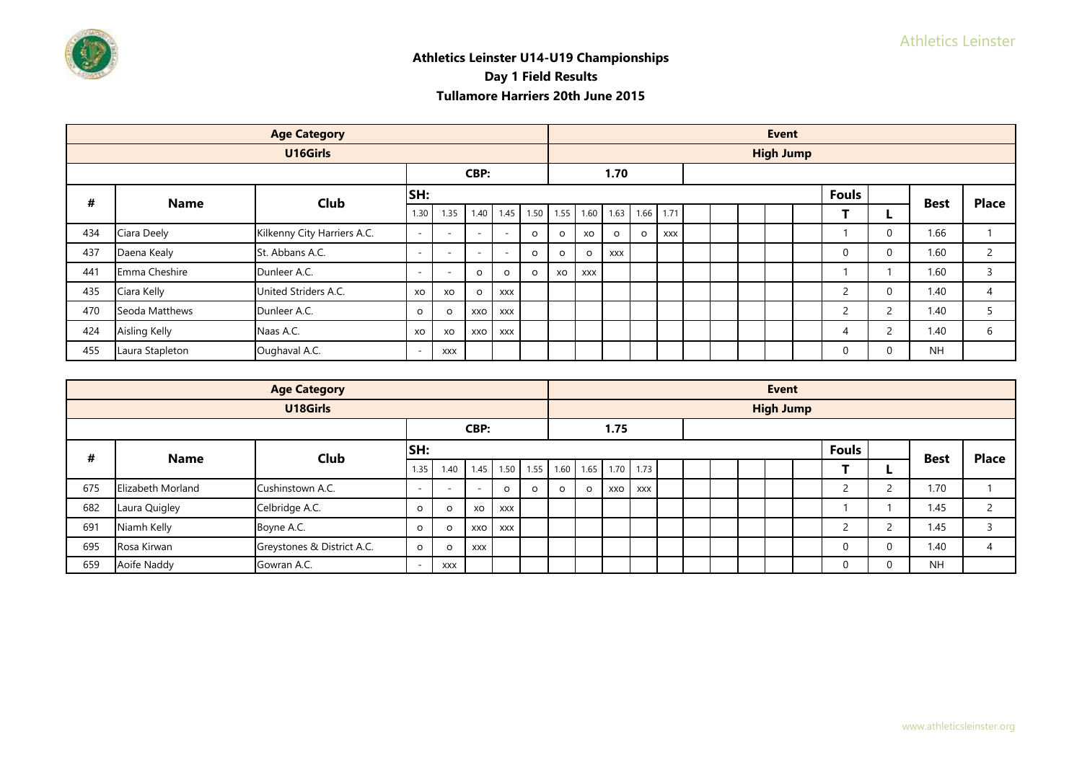|     |                      | <b>Age Category</b>         |         |                          |                          |                          |          |           |            |            |         |            |  | <b>Event</b>     |                |             |                |
|-----|----------------------|-----------------------------|---------|--------------------------|--------------------------|--------------------------|----------|-----------|------------|------------|---------|------------|--|------------------|----------------|-------------|----------------|
|     |                      | U16Girls                    |         |                          |                          |                          |          |           |            |            |         |            |  | <b>High Jump</b> |                |             |                |
|     |                      |                             |         |                          | CBP:                     |                          |          |           |            | 1.70       |         |            |  |                  |                |             |                |
| #   | <b>Name</b>          | Club                        | SH:     |                          |                          |                          |          |           |            |            |         |            |  |                  | <b>Fouls</b>   | <b>Best</b> | <b>Place</b>   |
|     |                      |                             | 1.30    | 1.35                     | 1.40                     | 1.45                     |          | 1.50 1.55 | 1.60       | 1.63       |         | 1.66 1.71  |  |                  |                |             |                |
| 434 | Ciara Deely          | Kilkenny City Harriers A.C. | $\sim$  | $\overline{\phantom{a}}$ | $\overline{\phantom{a}}$ | $\overline{\phantom{a}}$ | $\Omega$ | $\circ$   | XO         | O          | $\circ$ | <b>XXX</b> |  |                  |                | 1.66        |                |
| 437 | Daena Kealy          | St. Abbans A.C.             | $\sim$  | $\overline{a}$           | $\overline{\phantom{a}}$ | $\overline{\phantom{a}}$ | $\Omega$ | $\circ$   | $\Omega$   | <b>XXX</b> |         |            |  |                  | $\Omega$       | 1.60        | 2              |
| 441 | Emma Cheshire        | Dunleer A.C.                | $\sim$  | $\overline{\phantom{a}}$ | $\circ$                  | $\Omega$                 | $\Omega$ | XO        | <b>XXX</b> |            |         |            |  |                  |                | 1.60        | 3              |
| 435 | Ciara Kelly          | United Striders A.C.        | XO      | XO                       | $\circ$                  | <b>XXX</b>               |          |           |            |            |         |            |  |                  | $\overline{2}$ | 1.40        | $\overline{4}$ |
| 470 | Seoda Matthews       | Dunleer A.C.                | $\circ$ | $\circ$                  | XXO                      | <b>XXX</b>               |          |           |            |            |         |            |  |                  | $\overline{2}$ | 1.40        | 5              |
| 424 | <b>Aisling Kelly</b> | Naas A.C.                   | XO      | XO                       | XXO                      | <b>XXX</b>               |          |           |            |            |         |            |  |                  | 4              | 1.40        | 6              |
| 455 | Laura Stapleton      | Oughaval A.C.               | $\sim$  | <b>XXX</b>               |                          |                          |          |           |            |            |         |            |  |                  | $\Omega$       | <b>NH</b>   |                |

|     |                   | <b>Age Category</b>        |           |            |                          |            |                     |          |          |      |            |  |  | <b>Event</b>     |              |             |              |
|-----|-------------------|----------------------------|-----------|------------|--------------------------|------------|---------------------|----------|----------|------|------------|--|--|------------------|--------------|-------------|--------------|
|     |                   | U18Girls                   |           |            |                          |            |                     |          |          |      |            |  |  | <b>High Jump</b> |              |             |              |
|     |                   |                            |           |            | CBP:                     |            |                     |          |          | 1.75 |            |  |  |                  |              |             |              |
| #   | <b>Name</b>       | Club                       | SH:       |            |                          |            |                     |          |          |      |            |  |  |                  | <b>Fouls</b> | <b>Best</b> | <b>Place</b> |
|     |                   |                            | 1.35      | 1.40       | 1.45                     |            | 1.50 1.55 1.60 1.65 |          |          |      | 1.70 1.73  |  |  |                  |              |             |              |
| 675 | Elizabeth Morland | Cushinstown A.C.           | <b>п.</b> | $\sim$     | $\overline{\phantom{a}}$ | $\Omega$   | $\Omega$            | $\Omega$ | $\Omega$ | XXO  | <b>XXX</b> |  |  |                  |              | 1.70        |              |
| 682 | Laura Quigley     | Celbridge A.C.             | $\circ$   | $\circ$    | XO                       | XXX        |                     |          |          |      |            |  |  |                  |              | 1.45        |              |
| 691 | Niamh Kelly       | Boyne A.C.                 | $\circ$   | $\Omega$   | xxo                      | <b>XXX</b> |                     |          |          |      |            |  |  |                  |              | 1.45        |              |
| 695 | Rosa Kirwan       | Greystones & District A.C. | $\circ$   | $\Omega$   | <b>XXX</b>               |            |                     |          |          |      |            |  |  |                  | 0            | 1.40        | 4            |
| 659 | Aoife Naddy       | Gowran A.C.                |           | <b>XXX</b> |                          |            |                     |          |          |      |            |  |  |                  | 0            | <b>NH</b>   |              |